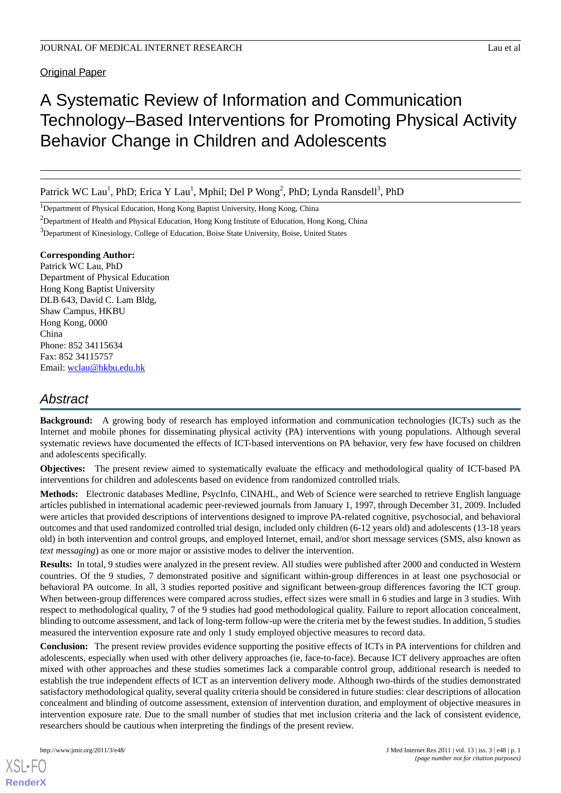Original Paper

# A Systematic Review of Information and Communication Technology–Based Interventions for Promoting Physical Activity Behavior Change in Children and Adolescents

Patrick WC Lau<sup>1</sup>, PhD; Erica Y Lau<sup>1</sup>, Mphil; Del P Wong<sup>2</sup>, PhD; Lynda Ransdell<sup>3</sup>, PhD

<sup>1</sup>Department of Physical Education, Hong Kong Baptist University, Hong Kong, China

<sup>2</sup>Department of Health and Physical Education, Hong Kong Institute of Education, Hong Kong, China

<sup>3</sup>Department of Kinesiology, College of Education, Boise State University, Boise, United States

### **Corresponding Author:**

Patrick WC Lau, PhD Department of Physical Education Hong Kong Baptist University DLB 643, David C. Lam Bldg, Shaw Campus, HKBU Hong Kong, 0000 China Phone: 852 34115634 Fax: 852 34115757 Email: [wclau@hkbu.edu.hk](mailto:wclau@hkbu.edu.hk)

# *Abstract*

**Background:** A growing body of research has employed information and communication technologies (ICTs) such as the Internet and mobile phones for disseminating physical activity (PA) interventions with young populations. Although several systematic reviews have documented the effects of ICT-based interventions on PA behavior, very few have focused on children and adolescents specifically.

**Objectives:** The present review aimed to systematically evaluate the efficacy and methodological quality of ICT-based PA interventions for children and adolescents based on evidence from randomized controlled trials.

**Methods:** Electronic databases Medline, PsycInfo, CINAHL, and Web of Science were searched to retrieve English language articles published in international academic peer-reviewed journals from January 1, 1997, through December 31, 2009. Included were articles that provided descriptions of interventions designed to improve PA-related cognitive, psychosocial, and behavioral outcomes and that used randomized controlled trial design, included only children (6-12 years old) and adolescents (13-18 years old) in both intervention and control groups, and employed Internet, email, and/or short message services (SMS, also known as *text messaging*) as one or more major or assistive modes to deliver the intervention.

**Results:** In total, 9 studies were analyzed in the present review. All studies were published after 2000 and conducted in Western countries. Of the 9 studies, 7 demonstrated positive and significant within-group differences in at least one psychosocial or behavioral PA outcome. In all, 3 studies reported positive and significant between-group differences favoring the ICT group. When between-group differences were compared across studies, effect sizes were small in 6 studies and large in 3 studies. With respect to methodological quality, 7 of the 9 studies had good methodological quality. Failure to report allocation concealment, blinding to outcome assessment, and lack of long-term follow-up were the criteria met by the fewest studies. In addition, 5 studies measured the intervention exposure rate and only 1 study employed objective measures to record data.

**Conclusion:** The present review provides evidence supporting the positive effects of ICTs in PA interventions for children and adolescents, especially when used with other delivery approaches (ie, face-to-face). Because ICT delivery approaches are often mixed with other approaches and these studies sometimes lack a comparable control group, additional research is needed to establish the true independent effects of ICT as an intervention delivery mode. Although two-thirds of the studies demonstrated satisfactory methodological quality, several quality criteria should be considered in future studies: clear descriptions of allocation concealment and blinding of outcome assessment, extension of intervention duration, and employment of objective measures in intervention exposure rate. Due to the small number of studies that met inclusion criteria and the lack of consistent evidence, researchers should be cautious when interpreting the findings of the present review.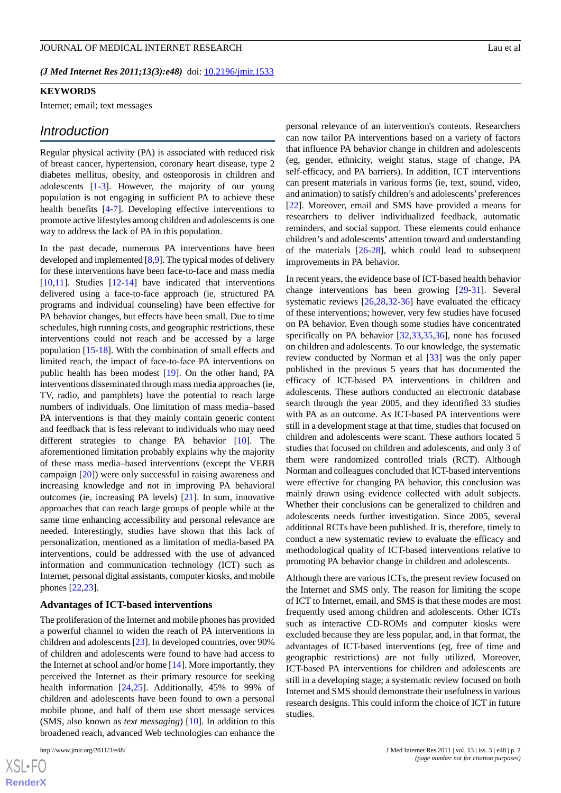#### **KEYWORDS**

Internet; email; text messages

### *Introduction*

Regular physical activity (PA) is associated with reduced risk of breast cancer, hypertension, coronary heart disease, type 2 diabetes mellitus, obesity, and osteoporosis in children and adolescents [\[1](#page-13-0)[-3](#page-13-1)]. However, the majority of our young population is not engaging in sufficient PA to achieve these health benefits [[4](#page-13-2)[-7](#page-13-3)]. Developing effective interventions to promote active lifestyles among children and adolescents is one way to address the lack of PA in this population.

In the past decade, numerous PA interventions have been developed and implemented [[8,](#page-14-0)[9](#page-14-1)]. The typical modes of delivery for these interventions have been face-to-face and mass media [[10](#page-14-2)[,11](#page-14-3)]. Studies [[12](#page-14-4)[-14](#page-14-5)] have indicated that interventions delivered using a face-to-face approach (ie, structured PA programs and individual counseling) have been effective for PA behavior changes, but effects have been small. Due to time schedules, high running costs, and geographic restrictions, these interventions could not reach and be accessed by a large population [\[15](#page-14-6)-[18\]](#page-14-7). With the combination of small effects and limited reach, the impact of face-to-face PA interventions on public health has been modest [[19\]](#page-14-8). On the other hand, PA interventions disseminated through mass media approaches (ie, TV, radio, and pamphlets) have the potential to reach large numbers of individuals. One limitation of mass media–based PA interventions is that they mainly contain generic content and feedback that is less relevant to individuals who may need different strategies to change PA behavior [[10\]](#page-14-2). The aforementioned limitation probably explains why the majority of these mass media–based interventions (except the VERB campaign [\[20](#page-14-9)]) were only successful in raising awareness and increasing knowledge and not in improving PA behavioral outcomes (ie, increasing PA levels) [[21\]](#page-14-10). In sum, innovative approaches that can reach large groups of people while at the same time enhancing accessibility and personal relevance are needed. Interestingly, studies have shown that this lack of personalization, mentioned as a limitation of media-based PA interventions, could be addressed with the use of advanced information and communication technology (ICT) such as Internet, personal digital assistants, computer kiosks, and mobile phones [[22,](#page-14-11)[23](#page-14-12)].

### **Advantages of ICT-based interventions**

The proliferation of the Internet and mobile phones has provided a powerful channel to widen the reach of PA interventions in children and adolescents [[23\]](#page-14-12). In developed countries, over 90% of children and adolescents were found to have had access to the Internet at school and/or home [\[14](#page-14-5)]. More importantly, they perceived the Internet as their primary resource for seeking health information [\[24](#page-14-13),[25\]](#page-14-14). Additionally, 45% to 99% of children and adolescents have been found to own a personal mobile phone, and half of them use short message services (SMS, also known as *text messaging*) [[10\]](#page-14-2). In addition to this broadened reach, advanced Web technologies can enhance the

[XSL](http://www.w3.org/Style/XSL)•FO **[RenderX](http://www.renderx.com/)** personal relevance of an intervention's contents. Researchers can now tailor PA interventions based on a variety of factors that influence PA behavior change in children and adolescents (eg, gender, ethnicity, weight status, stage of change, PA self-efficacy, and PA barriers). In addition, ICT interventions can present materials in various forms (ie, text, sound, video, and animation) to satisfy children's and adolescents'preferences [[22\]](#page-14-11). Moreover, email and SMS have provided a means for researchers to deliver individualized feedback, automatic reminders, and social support. These elements could enhance children's and adolescents' attention toward and understanding of the materials  $[26-28]$  $[26-28]$  $[26-28]$ , which could lead to subsequent improvements in PA behavior.

In recent years, the evidence base of ICT-based health behavior change interventions has been growing [\[29](#page-14-17)[-31](#page-15-0)]. Several systematic reviews [[26](#page-14-15)[,28](#page-14-16),[32-](#page-15-1)[36](#page-15-2)] have evaluated the efficacy of these interventions; however, very few studies have focused on PA behavior. Even though some studies have concentrated specifically on PA behavior [\[32](#page-15-1),[33](#page-15-3)[,35](#page-15-4),[36\]](#page-15-2), none has focused on children and adolescents. To our knowledge, the systematic review conducted by Norman et al [[33\]](#page-15-3) was the only paper published in the previous 5 years that has documented the efficacy of ICT-based PA interventions in children and adolescents. These authors conducted an electronic database search through the year 2005, and they identified 33 studies with PA as an outcome. As ICT-based PA interventions were still in a development stage at that time, studies that focused on children and adolescents were scant. These authors located 5 studies that focused on children and adolescents, and only 3 of them were randomized controlled trials (RCT). Although Norman and colleagues concluded that ICT-based interventions were effective for changing PA behavior, this conclusion was mainly drawn using evidence collected with adult subjects. Whether their conclusions can be generalized to children and adolescents needs further investigation. Since 2005, several additional RCTs have been published. It is, therefore, timely to conduct a new systematic review to evaluate the efficacy and methodological quality of ICT-based interventions relative to promoting PA behavior change in children and adolescents.

Although there are various ICTs, the present review focused on the Internet and SMS only. The reason for limiting the scope of ICT to Internet, email, and SMS is that these modes are most frequently used among children and adolescents. Other ICTs such as interactive CD-ROMs and computer kiosks were excluded because they are less popular, and, in that format, the advantages of ICT-based interventions (eg, free of time and geographic restrictions) are not fully utilized. Moreover, ICT-based PA interventions for children and adolescents are still in a developing stage; a systematic review focused on both Internet and SMS should demonstrate their usefulness in various research designs. This could inform the choice of ICT in future studies.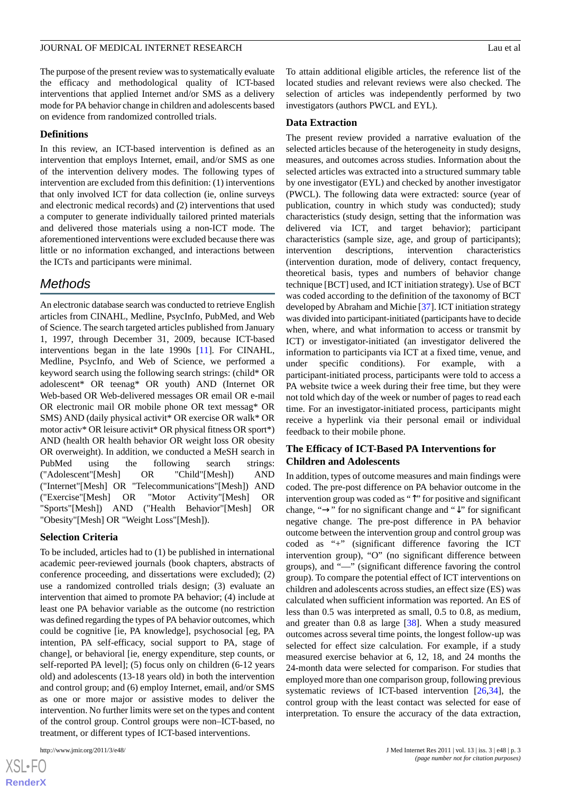The purpose of the present review was to systematically evaluate the efficacy and methodological quality of ICT-based interventions that applied Internet and/or SMS as a delivery mode for PA behavior change in children and adolescents based on evidence from randomized controlled trials.

#### **Definitions**

In this review, an ICT-based intervention is defined as an intervention that employs Internet, email, and/or SMS as one of the intervention delivery modes. The following types of intervention are excluded from this definition: (1) interventions that only involved ICT for data collection (ie, online surveys and electronic medical records) and (2) interventions that used a computer to generate individually tailored printed materials and delivered those materials using a non-ICT mode. The aforementioned interventions were excluded because there was little or no information exchanged, and interactions between the ICTs and participants were minimal.

# *Methods*

An electronic database search was conducted to retrieve English articles from CINAHL, Medline, PsycInfo, PubMed, and Web of Science. The search targeted articles published from January 1, 1997, through December 31, 2009, because ICT-based interventions began in the late 1990s [[11\]](#page-14-3). For CINAHL, Medline, PsycInfo, and Web of Science, we performed a keyword search using the following search strings: (child\* OR adolescent\* OR teenag\* OR youth) AND (Internet OR Web-based OR Web-delivered messages OR email OR e-mail OR electronic mail OR mobile phone OR text messag\* OR SMS) AND (daily physical activit\* OR exercise OR walk\* OR motor activ<sup>\*</sup> OR leisure activit<sup>\*</sup> OR physical fitness OR sport<sup>\*</sup>) AND (health OR health behavior OR weight loss OR obesity OR overweight). In addition, we conducted a MeSH search in PubMed using the following search strings: ("Adolescent"[Mesh] OR "Child"[Mesh]) AND ("Internet"[Mesh] OR "Telecommunications"[Mesh]) AND ("Exercise"[Mesh] OR "Motor Activity"[Mesh] OR "Sports"[Mesh]) AND ("Health Behavior"[Mesh] OR "Obesity"[Mesh] OR "Weight Loss"[Mesh]).

### **Selection Criteria**

To be included, articles had to (1) be published in international academic peer-reviewed journals (book chapters, abstracts of conference proceeding, and dissertations were excluded); (2) use a randomized controlled trials design; (3) evaluate an intervention that aimed to promote PA behavior; (4) include at least one PA behavior variable as the outcome (no restriction was defined regarding the types of PA behavior outcomes, which could be cognitive [ie, PA knowledge], psychosocial [eg, PA intention, PA self-efficacy, social support to PA, stage of change], or behavioral [ie, energy expenditure, step counts, or self-reported PA level]; (5) focus only on children (6-12 years old) and adolescents (13-18 years old) in both the intervention and control group; and (6) employ Internet, email, and/or SMS as one or more major or assistive modes to deliver the intervention. No further limits were set on the types and content of the control group. Control groups were non–ICT-based, no treatment, or different types of ICT-based interventions.

To attain additional eligible articles, the reference list of the located studies and relevant reviews were also checked. The selection of articles was independently performed by two investigators (authors PWCL and EYL).

#### **Data Extraction**

The present review provided a narrative evaluation of the selected articles because of the heterogeneity in study designs, measures, and outcomes across studies. Information about the selected articles was extracted into a structured summary table by one investigator (EYL) and checked by another investigator (PWCL). The following data were extracted: source (year of publication, country in which study was conducted); study characteristics (study design, setting that the information was delivered via ICT, and target behavior); participant characteristics (sample size, age, and group of participants); intervention descriptions, intervention characteristics (intervention duration, mode of delivery, contact frequency, theoretical basis, types and numbers of behavior change technique [BCT] used, and ICT initiation strategy). Use of BCT was coded according to the definition of the taxonomy of BCT developed by Abraham and Michie [\[37](#page-15-5)]. ICT initiation strategy was divided into participant-initiated (participants have to decide when, where, and what information to access or transmit by ICT) or investigator-initiated (an investigator delivered the information to participants via ICT at a fixed time, venue, and under specific conditions). For example, with a participant-initiated process, participants were told to access a PA website twice a week during their free time, but they were not told which day of the week or number of pages to read each time. For an investigator-initiated process, participants might receive a hyperlink via their personal email or individual feedback to their mobile phone.

### **The Efficacy of ICT-Based PA Interventions for Children and Adolescents**

In addition, types of outcome measures and main findings were coded. The pre-post difference on PA behavior outcome in the intervention group was coded as "↑" for positive and significant change, "→" for no significant change and "↓" for significant negative change. The pre-post difference in PA behavior outcome between the intervention group and control group was coded as "+" (significant difference favoring the ICT intervention group), "O" (no significant difference between groups), and "—" (significant difference favoring the control group). To compare the potential effect of ICT interventions on children and adolescents across studies, an effect size (ES) was calculated when sufficient information was reported. An ES of less than 0.5 was interpreted as small, 0.5 to 0.8, as medium, and greater than 0.8 as large [[38\]](#page-15-6). When a study measured outcomes across several time points, the longest follow-up was selected for effect size calculation. For example, if a study measured exercise behavior at 6, 12, 18, and 24 months the 24-month data were selected for comparison. For studies that employed more than one comparison group, following previous systematic reviews of ICT-based intervention [\[26](#page-14-15),[34\]](#page-15-7), the control group with the least contact was selected for ease of interpretation. To ensure the accuracy of the data extraction,

 $XS$ -FO **[RenderX](http://www.renderx.com/)**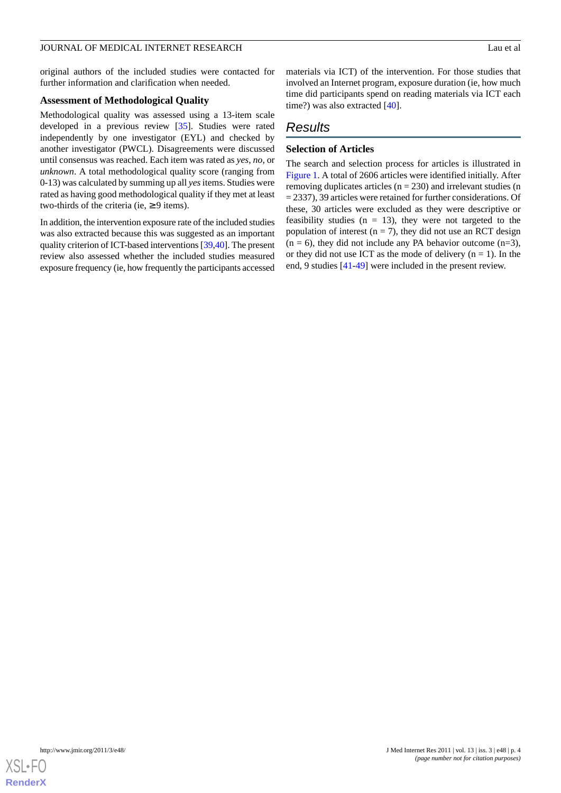original authors of the included studies were contacted for further information and clarification when needed.

### **Assessment of Methodological Quality**

Methodological quality was assessed using a 13-item scale developed in a previous review [\[35](#page-15-4)]. Studies were rated independently by one investigator (EYL) and checked by another investigator (PWCL). Disagreements were discussed until consensus was reached. Each item was rated as *yes*, *no*, or *unknown*. A total methodological quality score (ranging from 0-13) was calculated by summing up all *yes*items. Studies were rated as having good methodological quality if they met at least two-thirds of the criteria (ie,  $\geq$  9 items).

In addition, the intervention exposure rate of the included studies was also extracted because this was suggested as an important quality criterion of ICT-based interventions [\[39](#page-15-8)[,40](#page-15-9)]. The present review also assessed whether the included studies measured exposure frequency (ie, how frequently the participants accessed materials via ICT) of the intervention. For those studies that involved an Internet program, exposure duration (ie, how much time did participants spend on reading materials via ICT each time?) was also extracted [[40\]](#page-15-9).

### *Results*

# **Selection of Articles**

The search and selection process for articles is illustrated in [Figure 1.](#page-4-0) A total of 2606 articles were identified initially. After removing duplicates articles  $(n = 230)$  and irrelevant studies  $(n = 1230)$ = 2337), 39 articles were retained for further considerations. Of these, 30 articles were excluded as they were descriptive or feasibility studies  $(n = 13)$ , they were not targeted to the population of interest ( $n = 7$ ), they did not use an RCT design  $(n = 6)$ , they did not include any PA behavior outcome  $(n=3)$ , or they did not use ICT as the mode of delivery  $(n = 1)$ . In the end, 9 studies [\[41](#page-15-10)-[49\]](#page-15-11) were included in the present review.

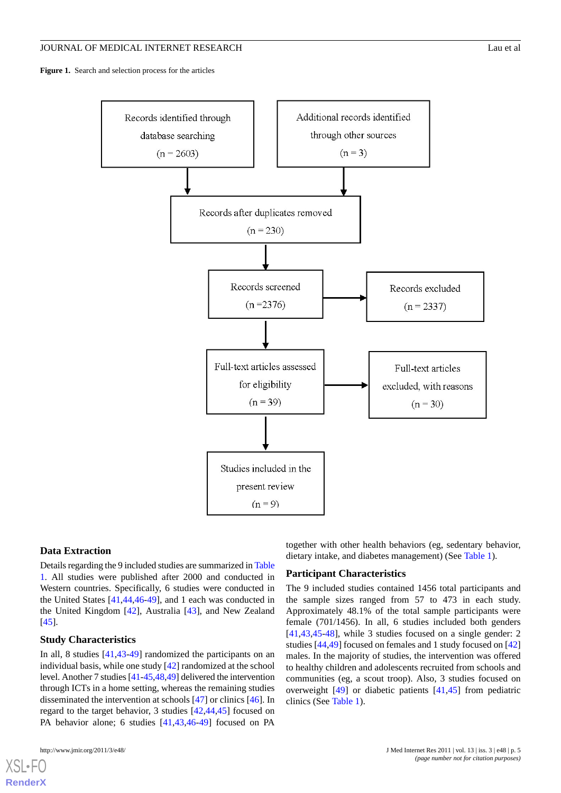<span id="page-4-0"></span>**Figure 1.** Search and selection process for the articles



#### **Data Extraction**

Details regarding the 9 included studies are summarized in [Table](#page-6-0) [1.](#page-6-0) All studies were published after 2000 and conducted in Western countries. Specifically, 6 studies were conducted in the United States [[41](#page-15-10)[,44](#page-15-12),[46](#page-15-13)[-49](#page-15-11)], and 1 each was conducted in the United Kingdom [[42\]](#page-15-14), Australia [[43\]](#page-15-15), and New Zealand [[45\]](#page-15-16).

### **Study Characteristics**

In all, 8 studies [[41,](#page-15-10)[43](#page-15-15)-[49\]](#page-15-11) randomized the participants on an individual basis, while one study [\[42](#page-15-14)] randomized at the school level. Another 7 studies [\[41](#page-15-10)[-45](#page-15-16),[48,](#page-15-17)[49\]](#page-15-11) delivered the intervention through ICTs in a home setting, whereas the remaining studies disseminated the intervention at schools [\[47](#page-15-18)] or clinics [\[46](#page-15-13)]. In regard to the target behavior, 3 studies [[42](#page-15-14)[,44](#page-15-12),[45\]](#page-15-16) focused on PA behavior alone; 6 studies [\[41](#page-15-10),[43,](#page-15-15)[46](#page-15-13)[-49](#page-15-11)] focused on PA

together with other health behaviors (eg, sedentary behavior, dietary intake, and diabetes management) (See [Table 1](#page-6-0)).

### **Participant Characteristics**

The 9 included studies contained 1456 total participants and the sample sizes ranged from 57 to 473 in each study. Approximately 48.1% of the total sample participants were female (701/1456). In all, 6 studies included both genders [[41,](#page-15-10)[43,](#page-15-15)[45](#page-15-16)[-48](#page-15-17)], while 3 studies focused on a single gender: 2 studies [[44](#page-15-12)[,49](#page-15-11)] focused on females and 1 study focused on [\[42](#page-15-14)] males. In the majority of studies, the intervention was offered to healthy children and adolescents recruited from schools and communities (eg, a scout troop). Also, 3 studies focused on overweight [\[49](#page-15-11)] or diabetic patients [\[41](#page-15-10),[45\]](#page-15-16) from pediatric clinics (See [Table 1\)](#page-6-0).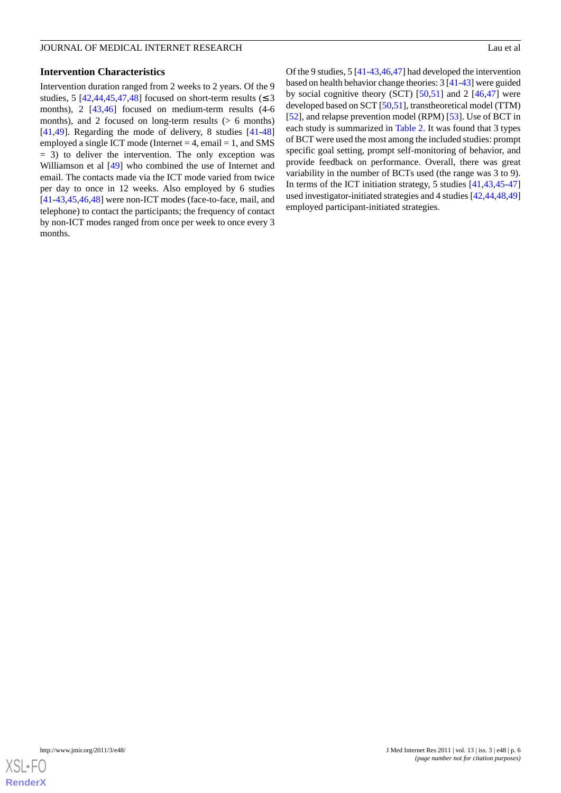#### **Intervention Characteristics**

Intervention duration ranged from 2 weeks to 2 years. Of the 9 studies, 5 [\[42](#page-15-14),[44](#page-15-12)[,45](#page-15-16),[47](#page-15-18)[,48](#page-15-17)] focused on short-term results ( $\leq$  3 months), 2 [[43](#page-15-15)[,46](#page-15-13)] focused on medium-term results (4-6 months), and 2 focused on long-term results  $(> 6$  months) [[41](#page-15-10)[,49](#page-15-11)]. Regarding the mode of delivery, 8 studies [[41](#page-15-10)[-48](#page-15-17)] employed a single ICT mode (Internet  $= 4$ , email  $= 1$ , and SMS  $= 3$ ) to deliver the intervention. The only exception was Williamson et al  $[49]$  $[49]$  who combined the use of Internet and email. The contacts made via the ICT mode varied from twice per day to once in 12 weeks. Also employed by 6 studies [[41](#page-15-10)[-43](#page-15-15),[45,](#page-15-16)[46](#page-15-13),[48\]](#page-15-17) were non-ICT modes (face-to-face, mail, and telephone) to contact the participants; the frequency of contact by non-ICT modes ranged from once per week to once every 3 months.

Of the 9 studies, 5 [\[41](#page-15-10)[-43](#page-15-15),[46,](#page-15-13)[47](#page-15-18)] had developed the intervention based on health behavior change theories: 3 [\[41-](#page-15-10)[43\]](#page-15-15) were guided by social cognitive theory (SCT)  $[50,51]$  $[50,51]$  $[50,51]$  and 2  $[46,47]$  $[46,47]$  $[46,47]$  were developed based on SCT [[50,](#page-15-19)[51\]](#page-15-20), transtheoretical model (TTM) [[52\]](#page-15-21), and relapse prevention model (RPM) [\[53](#page-15-22)]. Use of BCT in each study is summarized in [Table 2](#page-9-0). It was found that 3 types of BCT were used the most among the included studies: prompt specific goal setting, prompt self-monitoring of behavior, and provide feedback on performance. Overall, there was great variability in the number of BCTs used (the range was 3 to 9). In terms of the ICT initiation strategy, 5 studies [\[41](#page-15-10),[43,](#page-15-15)[45](#page-15-16)[-47](#page-15-18)] used investigator-initiated strategies and 4 studies [\[42](#page-15-14),[44,](#page-15-12)[48](#page-15-17),[49](#page-15-11)] employed participant-initiated strategies.

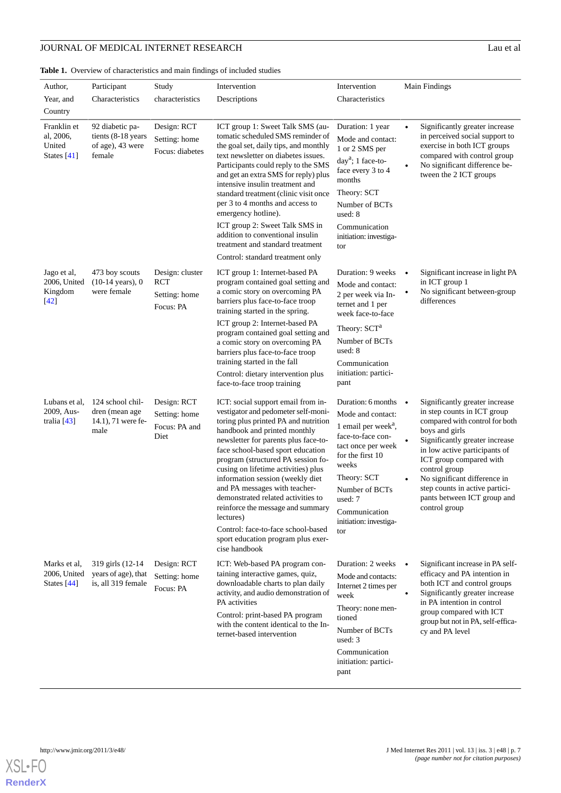# **JOURNAL OF MEDICAL INTERNET RESEARCH** Lau et al

<span id="page-6-0"></span>Table 1. Overview of characteristics and main findings of included studies

| Author,                                             | Participant                                                         | Study                                                       | Intervention                                                                                                                                                                                                                                                                                                                                                                                                                                                                                                                                                          | Intervention                                                                                                                                                                                                                                      | Main Findings                                                                                                                                                                                                                                                                                                                                      |
|-----------------------------------------------------|---------------------------------------------------------------------|-------------------------------------------------------------|-----------------------------------------------------------------------------------------------------------------------------------------------------------------------------------------------------------------------------------------------------------------------------------------------------------------------------------------------------------------------------------------------------------------------------------------------------------------------------------------------------------------------------------------------------------------------|---------------------------------------------------------------------------------------------------------------------------------------------------------------------------------------------------------------------------------------------------|----------------------------------------------------------------------------------------------------------------------------------------------------------------------------------------------------------------------------------------------------------------------------------------------------------------------------------------------------|
| Year, and                                           | Characteristics                                                     | characteristics                                             | Descriptions                                                                                                                                                                                                                                                                                                                                                                                                                                                                                                                                                          | Characteristics                                                                                                                                                                                                                                   |                                                                                                                                                                                                                                                                                                                                                    |
| Country                                             |                                                                     |                                                             |                                                                                                                                                                                                                                                                                                                                                                                                                                                                                                                                                                       |                                                                                                                                                                                                                                                   |                                                                                                                                                                                                                                                                                                                                                    |
| Franklin et<br>al, 2006,<br>United<br>States $[41]$ | 92 diabetic pa-<br>tients (8-18 years<br>of age), 43 were<br>female | Design: RCT<br>Setting: home<br>Focus: diabetes             | ICT group 1: Sweet Talk SMS (au-<br>tomatic scheduled SMS reminder of<br>the goal set, daily tips, and monthly<br>text newsletter on diabetes issues.<br>Participants could reply to the SMS<br>and get an extra SMS for reply) plus<br>intensive insulin treatment and<br>standard treatment (clinic visit once<br>per 3 to 4 months and access to<br>emergency hotline).<br>ICT group 2: Sweet Talk SMS in<br>addition to conventional insulin<br>treatment and standard treatment                                                                                  | Duration: 1 year<br>Mode and contact:<br>1 or 2 SMS per<br>$daya$ ; 1 face-to-<br>face every 3 to 4<br>months<br>Theory: SCT<br>Number of BCTs<br>used: 8<br>Communication<br>initiation: investiga-<br>tor                                       | Significantly greater increase<br>$\bullet$<br>in perceived social support to<br>exercise in both ICT groups<br>compared with control group<br>No significant difference be-<br>$\bullet$<br>tween the 2 ICT groups                                                                                                                                |
|                                                     |                                                                     |                                                             | Control: standard treatment only                                                                                                                                                                                                                                                                                                                                                                                                                                                                                                                                      |                                                                                                                                                                                                                                                   |                                                                                                                                                                                                                                                                                                                                                    |
| Jago et al,<br>2006, United<br>Kingdom<br>$[42]$    | 473 boy scouts<br>$(10-14 \text{ years}), 0$<br>were female         | Design: cluster<br><b>RCT</b><br>Setting: home<br>Focus: PA | ICT group 1: Internet-based PA<br>program contained goal setting and<br>a comic story on overcoming PA<br>barriers plus face-to-face troop<br>training started in the spring.                                                                                                                                                                                                                                                                                                                                                                                         | Duration: 9 weeks<br>Mode and contact:<br>2 per week via In-<br>ternet and 1 per<br>week face-to-face                                                                                                                                             | Significant increase in light PA<br>$\bullet$<br>in ICT group 1<br>No significant between-group<br>differences                                                                                                                                                                                                                                     |
|                                                     |                                                                     |                                                             | ICT group 2: Internet-based PA<br>program contained goal setting and<br>a comic story on overcoming PA<br>barriers plus face-to-face troop<br>training started in the fall<br>Control: dietary intervention plus<br>face-to-face troop training                                                                                                                                                                                                                                                                                                                       | Theory: SCT <sup>a</sup><br>Number of BCTs<br>used: 8<br>Communication<br>initiation: partici-<br>pant                                                                                                                                            |                                                                                                                                                                                                                                                                                                                                                    |
| Lubans et al.<br>2009, Aus-<br>tralia $[43]$        | 124 school chil-<br>dren (mean age<br>14.1), 71 were fe-<br>male    | Design: RCT<br>Setting: home<br>Focus: PA and<br>Diet       | ICT: social support email from in-<br>vestigator and pedometer self-moni-<br>toring plus printed PA and nutrition<br>handbook and printed monthly<br>newsletter for parents plus face-to-<br>face school-based sport education<br>program (structured PA session fo-<br>cusing on lifetime activities) plus<br>information session (weekly diet<br>and PA messages with teacher-<br>demonstrated related activities to<br>reinforce the message and summary<br>lectures)<br>Control: face-to-face school-based<br>sport education program plus exer-<br>cise handbook | Duration: 6 months $\bullet$<br>Mode and contact:<br>1 email per week $a$ ,<br>face-to-face con-<br>tact once per week<br>for the first 10<br>weeks<br>Theory: SCT<br>Number of BCTs<br>used: 7<br>Communication<br>initiation: investiga-<br>tor | Significantly greater increase<br>in step counts in ICT group<br>compared with control for both<br>boys and girls<br>Significantly greater increase<br>in low active participants of<br>ICT group compared with<br>control group<br>No significant difference in<br>step counts in active partici-<br>pants between ICT group and<br>control group |
| Marks et al,<br>2006, United<br>States $[44]$       | 319 girls (12-14<br>years of age), that<br>is, all 319 female       | Design: RCT<br>Setting: home<br>Focus: PA                   | ICT: Web-based PA program con-<br>taining interactive games, quiz,<br>downloadable charts to plan daily<br>activity, and audio demonstration of<br>PA activities<br>Control: print-based PA program<br>with the content identical to the In-<br>ternet-based intervention                                                                                                                                                                                                                                                                                             | Duration: 2 weeks $\bullet$<br>Mode and contacts:<br>Internet 2 times per<br>week<br>Theory: none men-<br>tioned<br>Number of BCTs<br>used: 3<br>Communication<br>initiation: partici-<br>pant                                                    | Significant increase in PA self-<br>efficacy and PA intention in<br>both ICT and control groups<br>Significantly greater increase<br>in PA intention in control<br>group compared with ICT<br>group but not in PA, self-effica-<br>cy and PA level                                                                                                 |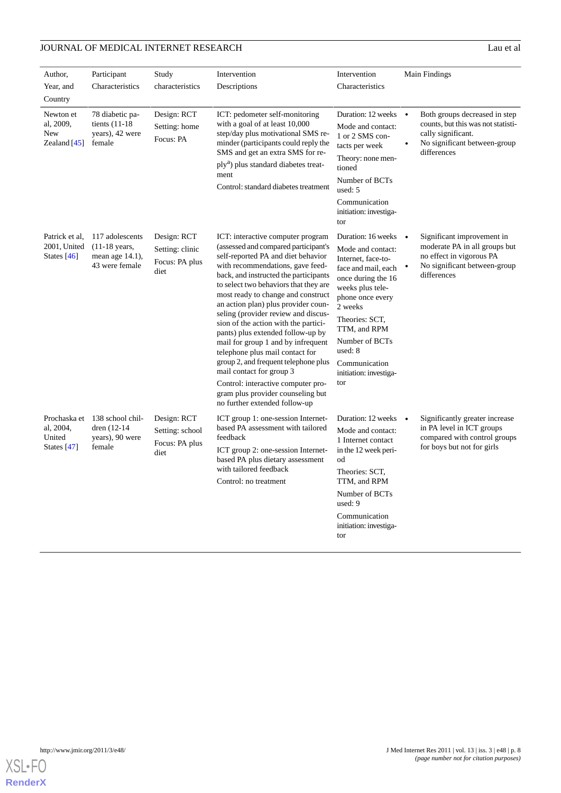# **JOURNAL OF MEDICAL INTERNET RESEARCH** Lau et al

| Author,                                              | Participant                                                                        | Study                                                    | Intervention                                                                                                                                                                                                                                                                                                                                                                                                                                                                                                                                                                                                                                                                                    | Intervention                                                                                                                                                                                                                                                                             | Main Findings                                                                                                                            |
|------------------------------------------------------|------------------------------------------------------------------------------------|----------------------------------------------------------|-------------------------------------------------------------------------------------------------------------------------------------------------------------------------------------------------------------------------------------------------------------------------------------------------------------------------------------------------------------------------------------------------------------------------------------------------------------------------------------------------------------------------------------------------------------------------------------------------------------------------------------------------------------------------------------------------|------------------------------------------------------------------------------------------------------------------------------------------------------------------------------------------------------------------------------------------------------------------------------------------|------------------------------------------------------------------------------------------------------------------------------------------|
| Year, and                                            | Characteristics                                                                    | characteristics                                          | Descriptions                                                                                                                                                                                                                                                                                                                                                                                                                                                                                                                                                                                                                                                                                    | Characteristics                                                                                                                                                                                                                                                                          |                                                                                                                                          |
| Country                                              |                                                                                    |                                                          |                                                                                                                                                                                                                                                                                                                                                                                                                                                                                                                                                                                                                                                                                                 |                                                                                                                                                                                                                                                                                          |                                                                                                                                          |
| Newton et<br>al, 2009,<br>New<br>Zealand $[45]$      | 78 diabetic pa-<br>tients $(11-18)$<br>years), 42 were<br>female                   | Design: RCT<br>Setting: home<br>Focus: PA                | ICT: pedometer self-monitoring<br>with a goal of at least 10,000<br>step/day plus motivational SMS re-<br>minder (participants could reply the<br>SMS and get an extra SMS for re-<br>ply <sup>a</sup> ) plus standard diabetes treat-<br>ment<br>Control: standard diabetes treatment                                                                                                                                                                                                                                                                                                                                                                                                          | Duration: 12 weeks $\bullet$<br>Mode and contact:<br>1 or 2 SMS con-<br>tacts per week<br>Theory: none men-<br>tioned<br>Number of BCTs<br>used: 5                                                                                                                                       | Both groups decreased in step<br>counts, but this was not statisti-<br>cally significant.<br>No significant between-group<br>differences |
|                                                      |                                                                                    |                                                          |                                                                                                                                                                                                                                                                                                                                                                                                                                                                                                                                                                                                                                                                                                 | Communication<br>initiation: investiga-<br>tor                                                                                                                                                                                                                                           |                                                                                                                                          |
| Patrick et al.<br>2001, United<br>States $[46]$      | 117 adolescents<br>$(11-18 \text{ years},$<br>mean age $14.1$ ),<br>43 were female | Design: RCT<br>Setting: clinic<br>Focus: PA plus<br>diet | ICT: interactive computer program<br>(assessed and compared participant's<br>self-reported PA and diet behavior<br>with recommendations, gave feed-<br>back, and instructed the participants<br>to select two behaviors that they are<br>most ready to change and construct<br>an action plan) plus provider coun-<br>seling (provider review and discus-<br>sion of the action with the partici-<br>pants) plus extended follow-up by<br>mail for group 1 and by infrequent<br>telephone plus mail contact for<br>group 2, and frequent telephone plus<br>mail contact for group 3<br>Control: interactive computer pro-<br>gram plus provider counseling but<br>no further extended follow-up | Duration: 16 weeks $\bullet$<br>Mode and contact:<br>Internet, face-to-<br>face and mail, each<br>once during the 16<br>weeks plus tele-<br>phone once every<br>2 weeks<br>Theories: SCT,<br>TTM, and RPM<br>Number of BCTs<br>used: 8<br>Communication<br>initiation: investiga-<br>tor | Significant improvement in<br>moderate PA in all groups but<br>no effect in vigorous PA<br>No significant between-group<br>differences   |
| Prochaska et<br>al, 2004,<br>United<br>States $[47]$ | 138 school chil-<br>dren (12-14)<br>years), 90 were<br>female                      | Design: RCT<br>Setting: school<br>Focus: PA plus<br>diet | ICT group 1: one-session Internet-<br>based PA assessment with tailored<br>feedback<br>ICT group 2: one-session Internet-<br>based PA plus dietary assessment<br>with tailored feedback<br>Control: no treatment                                                                                                                                                                                                                                                                                                                                                                                                                                                                                | Duration: 12 weeks $\bullet$<br>Mode and contact:<br>1 Internet contact<br>in the 12 week peri-<br>od<br>Theories: SCT,<br>TTM, and RPM<br>Number of BCTs<br>used: 9<br>Communication<br>initiation: investiga-<br>tor                                                                   | Significantly greater increase<br>in PA level in ICT groups<br>compared with control groups<br>for boys but not for girls                |

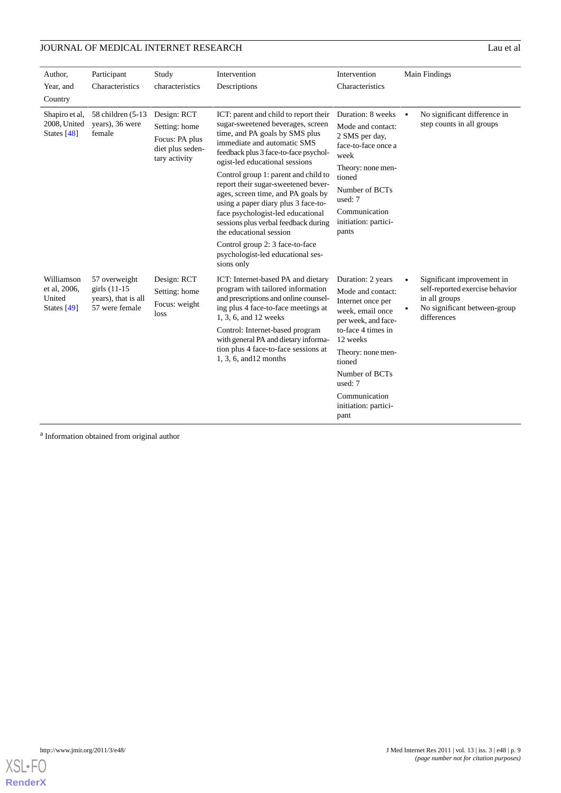# **JOURNAL OF MEDICAL INTERNET RESEARCH** Lau et al

| Author,                                             | Participant                                                               | Study                                                                               | Intervention                                                                                                                                                                                                                                                                                                                                                                                                                                                                               | Intervention                                                                                                                                                                                            | Main Findings                                                                                   |
|-----------------------------------------------------|---------------------------------------------------------------------------|-------------------------------------------------------------------------------------|--------------------------------------------------------------------------------------------------------------------------------------------------------------------------------------------------------------------------------------------------------------------------------------------------------------------------------------------------------------------------------------------------------------------------------------------------------------------------------------------|---------------------------------------------------------------------------------------------------------------------------------------------------------------------------------------------------------|-------------------------------------------------------------------------------------------------|
| Year, and                                           | Characteristics                                                           | characteristics                                                                     | Descriptions                                                                                                                                                                                                                                                                                                                                                                                                                                                                               | Characteristics                                                                                                                                                                                         |                                                                                                 |
| Country                                             |                                                                           |                                                                                     |                                                                                                                                                                                                                                                                                                                                                                                                                                                                                            |                                                                                                                                                                                                         |                                                                                                 |
| Shapiro et al,<br>2008, United<br>States [48]       | 58 children (5-13)<br>years), 36 were<br>female                           | Design: RCT<br>Setting: home<br>Focus: PA plus<br>diet plus seden-<br>tary activity | ICT: parent and child to report their<br>sugar-sweetened beverages, screen<br>time, and PA goals by SMS plus<br>immediate and automatic SMS<br>feedback plus 3 face-to-face psychol-<br>ogist-led educational sessions<br>Control group 1: parent and child to<br>report their sugar-sweetened bever-<br>ages, screen time, and PA goals by<br>using a paper diary plus 3 face-to-<br>face psychologist-led educational<br>sessions plus verbal feedback during<br>the educational session | Duration: 8 weeks •<br>Mode and contact:<br>2 SMS per day,<br>face-to-face once a<br>week<br>Theory: none men-<br>tioned<br>Number of BCTs<br>used: 7<br>Communication<br>initiation: partici-<br>pants | No significant difference in<br>step counts in all groups                                       |
|                                                     |                                                                           |                                                                                     | Control group 2: 3 face-to-face<br>psychologist-led educational ses-<br>sions only                                                                                                                                                                                                                                                                                                                                                                                                         |                                                                                                                                                                                                         |                                                                                                 |
| Williamson<br>et al, 2006,<br>United<br>States [49] | 57 overweight<br>girls $(11-15)$<br>years), that is all<br>57 were female | Design: RCT<br>Setting: home<br>Focus: weight<br>loss                               | ICT: Internet-based PA and dietary<br>program with tailored information<br>and prescriptions and online counsel-<br>ing plus 4 face-to-face meetings at<br>1, 3, 6, and 12 weeks<br>Control: Internet-based program<br>with general PA and dietary informa-                                                                                                                                                                                                                                | Duration: 2 years                                                                                                                                                                                       | Significant improvement in                                                                      |
|                                                     |                                                                           |                                                                                     |                                                                                                                                                                                                                                                                                                                                                                                                                                                                                            | Mode and contact:<br>Internet once per<br>week, email once<br>per week, and face-<br>to-face 4 times in<br>12 weeks                                                                                     | self-reported exercise behavior<br>in all groups<br>No significant between-group<br>differences |
|                                                     |                                                                           |                                                                                     | tion plus 4 face-to-face sessions at<br>1, 3, 6, and 12 months                                                                                                                                                                                                                                                                                                                                                                                                                             | Theory: none men-<br>tioned                                                                                                                                                                             |                                                                                                 |
|                                                     |                                                                           |                                                                                     |                                                                                                                                                                                                                                                                                                                                                                                                                                                                                            | Number of BCTs<br>used: 7                                                                                                                                                                               |                                                                                                 |
|                                                     |                                                                           |                                                                                     |                                                                                                                                                                                                                                                                                                                                                                                                                                                                                            | Communication<br>initiation: partici-<br>pant                                                                                                                                                           |                                                                                                 |

<sup>a</sup> Information obtained from original author

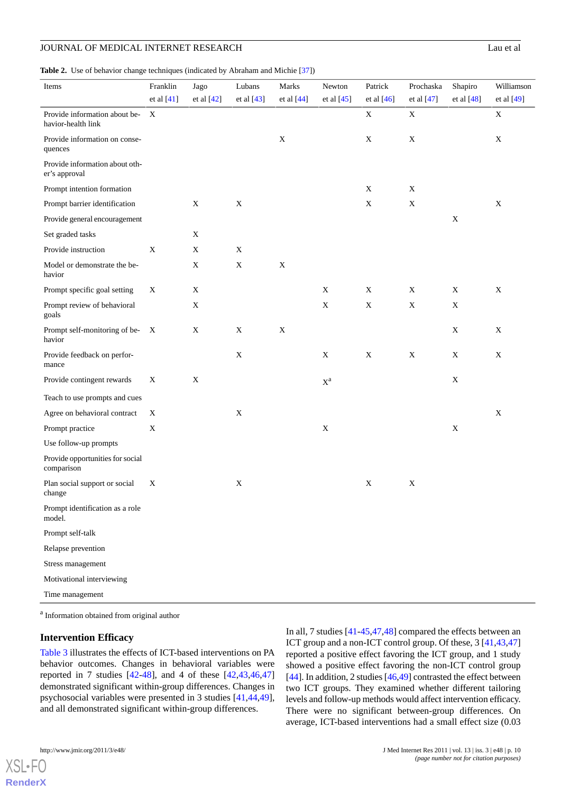<span id="page-9-0"></span>**Table 2.** Use of behavior change techniques (indicated by Abraham and Michie [\[37\]](#page-15-5))

| Items                                               | Franklin     | Jago         | Lubans      | Marks       | Newton                      | Patrick      | Prochaska   | Shapiro     | Williamson  |
|-----------------------------------------------------|--------------|--------------|-------------|-------------|-----------------------------|--------------|-------------|-------------|-------------|
|                                                     | et al $[41]$ | et al $[42]$ | et al [43]  | et al [44]  | et al $[45]$                | et al $[46]$ | et al [47]  | et al [48]  | et al [49]  |
| Provide information about be-<br>havior-health link | X            |              |             |             |                             | $\mathbf X$  | $\mathbf X$ |             | $\mathbf X$ |
| Provide information on conse-<br>quences            |              |              |             | $\mathbf X$ |                             | $\mathbf X$  | $\mathbf X$ |             | $\mathbf X$ |
| Provide information about oth-<br>er's approval     |              |              |             |             |                             |              |             |             |             |
| Prompt intention formation                          |              |              |             |             |                             | $\mathbf X$  | X           |             |             |
| Prompt barrier identification                       |              | $\mathbf X$  | $\mathbf X$ |             |                             | $\mathbf X$  | $\mathbf X$ |             | $\mathbf X$ |
| Provide general encouragement                       |              |              |             |             |                             |              |             | $\mathbf X$ |             |
| Set graded tasks                                    |              | X            |             |             |                             |              |             |             |             |
| Provide instruction                                 | X            | X            | $\mathbf X$ |             |                             |              |             |             |             |
| Model or demonstrate the be-<br>havior              |              | $\mathbf X$  | $\mathbf X$ | $\mathbf X$ |                             |              |             |             |             |
| Prompt specific goal setting                        | X            | X            |             |             | X                           | $\mathbf X$  | $\mathbf X$ | X           | $\mathbf X$ |
| Prompt review of behavioral<br>goals                |              | X            |             |             | X                           | $\mathbf X$  | $\mathbf X$ | X           |             |
| Prompt self-monitoring of be- X<br>havior           |              | $\mathbf X$  | $\mathbf X$ | $\mathbf X$ |                             |              |             | X           | $\mathbf X$ |
| Provide feedback on perfor-<br>mance                |              |              | $\mathbf X$ |             | X                           | $\mathbf X$  | $\mathbf X$ | X           | $\mathbf X$ |
| Provide contingent rewards                          | X            | X            |             |             | $\mathbf{X}^\textnormal{a}$ |              |             | $\mathbf X$ |             |
| Teach to use prompts and cues                       |              |              |             |             |                             |              |             |             |             |
| Agree on behavioral contract                        | X            |              | $\mathbf X$ |             |                             |              |             |             | $\mathbf X$ |
| Prompt practice                                     | $\mathbf X$  |              |             |             | $\mathbf X$                 |              |             | X           |             |
| Use follow-up prompts                               |              |              |             |             |                             |              |             |             |             |
| Provide opportunities for social<br>comparison      |              |              |             |             |                             |              |             |             |             |
| Plan social support or social<br>change             | X            |              | $\mathbf X$ |             |                             | $\mathbf X$  | X           |             |             |
| Prompt identification as a role<br>model.           |              |              |             |             |                             |              |             |             |             |
| Prompt self-talk                                    |              |              |             |             |                             |              |             |             |             |
| Relapse prevention                                  |              |              |             |             |                             |              |             |             |             |
| Stress management                                   |              |              |             |             |                             |              |             |             |             |
| Motivational interviewing                           |              |              |             |             |                             |              |             |             |             |
| Time management                                     |              |              |             |             |                             |              |             |             |             |

<sup>a</sup> Information obtained from original author

### **Intervention Efficacy**

[Table 3](#page-10-0) illustrates the effects of ICT-based interventions on PA behavior outcomes. Changes in behavioral variables were reported in 7 studies  $[42-48]$  $[42-48]$  $[42-48]$ , and 4 of these  $[42, 43, 46, 47]$  $[42, 43, 46, 47]$  $[42, 43, 46, 47]$  $[42, 43, 46, 47]$  $[42, 43, 46, 47]$ demonstrated significant within-group differences. Changes in psychosocial variables were presented in 3 studies [[41](#page-15-10)[,44](#page-15-12),[49\]](#page-15-11), and all demonstrated significant within-group differences.

In all, 7 studies [\[41](#page-15-10)-[45,](#page-15-16)[47](#page-15-18),[48\]](#page-15-17) compared the effects between an ICT group and a non-ICT control group. Of these, 3 [\[41](#page-15-10),[43](#page-15-15)[,47](#page-15-18)] reported a positive effect favoring the ICT group, and 1 study showed a positive effect favoring the non-ICT control group [[44\]](#page-15-12). In addition, 2 studies [\[46](#page-15-13),[49\]](#page-15-11) contrasted the effect between two ICT groups. They examined whether different tailoring levels and follow-up methods would affect intervention efficacy. There were no significant between-group differences. On average, ICT-based interventions had a small effect size (0.03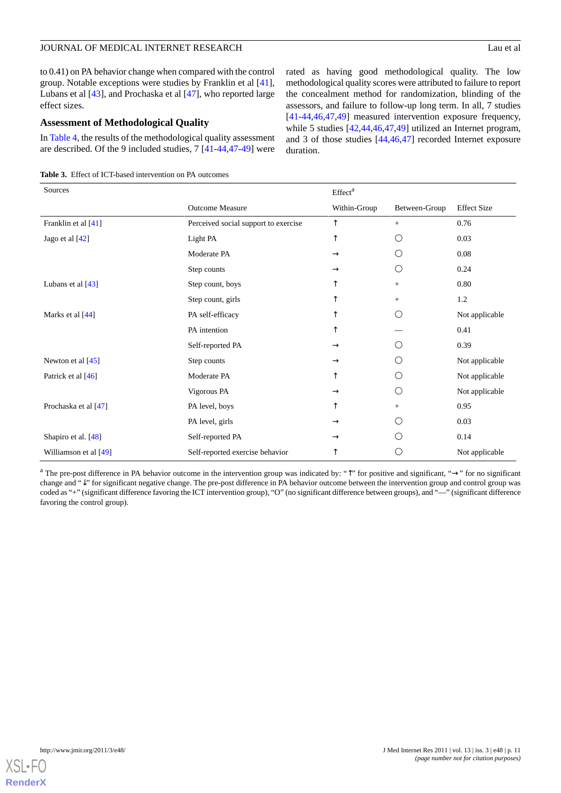to 0.41) on PA behavior change when compared with the control group. Notable exceptions were studies by Franklin et al [[41\]](#page-15-10), Lubans et al [[43\]](#page-15-15), and Prochaska et al [\[47](#page-15-18)], who reported large effect sizes.

### **Assessment of Methodological Quality**

In [Table 4,](#page-11-0) the results of the methodological quality assessment are described. Of the 9 included studies, 7 [\[41](#page-15-10)[-44](#page-15-12),[47](#page-15-18)[-49](#page-15-11)] were

<span id="page-10-0"></span>**Table 3.** Effect of ICT-based intervention on PA outcomes

rated as having good methodological quality. The low methodological quality scores were attributed to failure to report the concealment method for randomization, blinding of the assessors, and failure to follow-up long term. In all, 7 studies [[41](#page-15-10)[-44](#page-15-12),[46](#page-15-13)[,47](#page-15-18),[49\]](#page-15-11) measured intervention exposure frequency, while 5 studies [[42](#page-15-14)[,44](#page-15-12),[46](#page-15-13)[,47](#page-15-18),[49\]](#page-15-11) utilized an Internet program, and 3 of those studies [[44,](#page-15-12)[46](#page-15-13),[47\]](#page-15-18) recorded Internet exposure duration.

| Sources               |                                      | Effect <sup>a</sup> |                 |                    |
|-----------------------|--------------------------------------|---------------------|-----------------|--------------------|
|                       | <b>Outcome Measure</b>               | Within-Group        | Between-Group   | <b>Effect Size</b> |
| Franklin et al [41]   | Perceived social support to exercise | ↑                   | $^{+}$          | 0.76               |
| Jago et al $[42]$     | Light PA                             | ↑                   | О               | 0.03               |
|                       | Moderate PA                          | $\rightarrow$       | O               | 0.08               |
|                       | Step counts                          | $\rightarrow$       | O               | 0.24               |
| Lubans et al $[43]$   | Step count, boys                     | ᠰ                   | $+$             | 0.80               |
|                       | Step count, girls                    |                     | $+$             | 1.2                |
| Marks et al [44]      | PA self-efficacy                     | ᠰ                   | ◯               | Not applicable     |
|                       | PA intention                         | ↑                   |                 | 0.41               |
|                       | Self-reported PA                     | $\rightarrow$       | ∩               | 0.39               |
| Newton et al [45]     | Step counts                          | $\rightarrow$       | O               | Not applicable     |
| Patrick et al [46]    | Moderate PA                          | ↑                   | O               | Not applicable     |
|                       | Vigorous PA                          | $\rightarrow$       | O               | Not applicable     |
| Prochaska et al [47]  | PA level, boys                       | ↑                   | $^{+}$          | 0.95               |
|                       | PA level, girls                      | $\rightarrow$       | Ο               | 0.03               |
| Shapiro et al. [48]   | Self-reported PA                     | $\rightarrow$       | $\left(\right)$ | 0.14               |
| Williamson et al [49] | Self-reported exercise behavior      | ↑                   | О               | Not applicable     |

<sup>a</sup> The pre-post difference in PA behavior outcome in the intervention group was indicated by: "↑" for positive and significant, "→" for no significant change and "↓" for significant negative change. The pre-post difference in PA behavior outcome between the intervention group and control group was coded as "+" (significant difference favoring the ICT intervention group), "O" (no significant difference between groups), and "—" (significant difference favoring the control group).

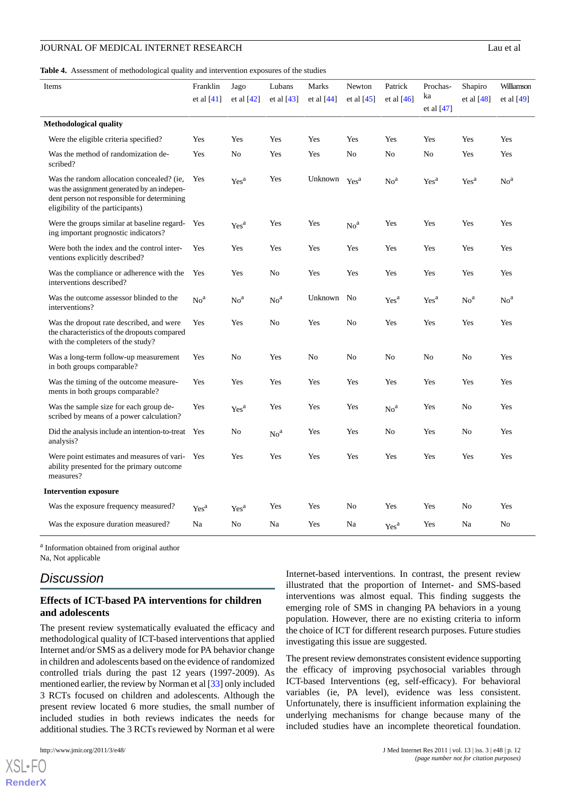<span id="page-11-0"></span>**Table 4.** Assessment of methodological quality and intervention exposures of the studies

| Items                                                                                                                                                                       | Franklin<br>et al $[41]$ | Jago<br>et al $[42]$          | Lubans<br>et al $[43]$ | Marks<br>et al $[44]$ | Newton<br>et al $[45]$ | Patrick<br>et al $[46]$ | Prochas-<br>ka<br>et al $[47]$ | Shapiro<br>et al $[48]$ | Williamson<br>et al $[49]$ |
|-----------------------------------------------------------------------------------------------------------------------------------------------------------------------------|--------------------------|-------------------------------|------------------------|-----------------------|------------------------|-------------------------|--------------------------------|-------------------------|----------------------------|
| <b>Methodological quality</b>                                                                                                                                               |                          |                               |                        |                       |                        |                         |                                |                         |                            |
| Were the eligible criteria specified?                                                                                                                                       | Yes                      | Yes                           | Yes                    | Yes                   | Yes                    | Yes                     | Yes                            | Yes                     | Yes                        |
| Was the method of randomization de-<br>scribed?                                                                                                                             | Yes                      | No                            | Yes                    | Yes                   | N <sub>0</sub>         | N <sub>0</sub>          | No                             | Yes                     | Yes                        |
| Was the random allocation concealed? (ie,<br>was the assignment generated by an indepen-<br>dent person not responsible for determining<br>eligibility of the participants) | Yes                      | $\ensuremath{\mathrm{Yes}}^a$ | Yes                    | Unknown               | Yes <sup>a</sup>       | No <sup>a</sup>         | Yes <sup>a</sup>               | Yes <sup>a</sup>        | No <sup>a</sup>            |
| Were the groups similar at baseline regard-<br>ing important prognostic indicators?                                                                                         | Yes                      | Yes <sup>a</sup>              | Yes                    | Yes                   | No <sup>a</sup>        | Yes                     | Yes                            | Yes                     | Yes                        |
| Were both the index and the control inter-<br>ventions explicitly described?                                                                                                | Yes                      | Yes                           | Yes                    | Yes                   | Yes                    | Yes                     | Yes                            | Yes                     | Yes                        |
| Was the compliance or adherence with the<br>interventions described?                                                                                                        | Yes                      | Yes                           | N <sub>0</sub>         | Yes                   | Yes                    | Yes                     | Yes                            | Yes                     | Yes                        |
| Was the outcome assessor blinded to the<br>interventions?                                                                                                                   | No <sup>a</sup>          | No <sup>a</sup>               | No <sup>a</sup>        | Unknown               | No                     | Yes <sup>a</sup>        | Yes <sup>a</sup>               | No <sup>a</sup>         | No <sup>a</sup>            |
| Was the dropout rate described, and were<br>the characteristics of the dropouts compared<br>with the completers of the study?                                               | Yes                      | Yes                           | N <sub>0</sub>         | Yes                   | N <sub>0</sub>         | Yes                     | Yes                            | Yes                     | Yes                        |
| Was a long-term follow-up measurement<br>in both groups comparable?                                                                                                         | Yes                      | No                            | Yes                    | No                    | N <sub>0</sub>         | N <sub>0</sub>          | N <sub>0</sub>                 | No                      | Yes                        |
| Was the timing of the outcome measure-<br>ments in both groups comparable?                                                                                                  | Yes                      | Yes                           | Yes                    | Yes                   | Yes                    | Yes                     | Yes                            | Yes                     | Yes                        |
| Was the sample size for each group de-<br>scribed by means of a power calculation?                                                                                          | Yes                      | Yes <sup>a</sup>              | Yes                    | Yes                   | Yes                    | No <sup>a</sup>         | Yes                            | No                      | Yes                        |
| Did the analysis include an intention-to-treat<br>analysis?                                                                                                                 | Yes                      | No                            | No <sup>a</sup>        | Yes                   | Yes                    | No                      | Yes                            | No                      | Yes                        |
| Were point estimates and measures of vari-<br>ability presented for the primary outcome<br>measures?                                                                        | Yes                      | Yes                           | Yes                    | Yes                   | Yes                    | Yes                     | Yes                            | Yes                     | Yes                        |
| <b>Intervention exposure</b>                                                                                                                                                |                          |                               |                        |                       |                        |                         |                                |                         |                            |
| Was the exposure frequency measured?                                                                                                                                        | Yes <sup>a</sup>         | Yes <sup>a</sup>              | Yes                    | Yes                   | No                     | Yes                     | Yes                            | No                      | Yes                        |
| Was the exposure duration measured?                                                                                                                                         | Na                       | No                            | Na                     | Yes                   | Na                     | Yes <sup>a</sup>        | Yes                            | Na                      | No                         |

<sup>a</sup> Information obtained from original author Na, Not applicable

# *Discussion*

# **Effects of ICT-based PA interventions for children and adolescents**

The present review systematically evaluated the efficacy and methodological quality of ICT-based interventions that applied Internet and/or SMS as a delivery mode for PA behavior change in children and adolescents based on the evidence of randomized controlled trials during the past 12 years (1997-2009). As mentioned earlier, the review by Norman et al [[33](#page-15-3)] only included 3 RCTs focused on children and adolescents. Although the present review located 6 more studies, the small number of included studies in both reviews indicates the needs for additional studies. The 3 RCTs reviewed by Norman et al were

 $X$ SL•FO **[RenderX](http://www.renderx.com/)** Internet-based interventions. In contrast, the present review illustrated that the proportion of Internet- and SMS-based interventions was almost equal. This finding suggests the emerging role of SMS in changing PA behaviors in a young population. However, there are no existing criteria to inform the choice of ICT for different research purposes. Future studies investigating this issue are suggested.

The present review demonstrates consistent evidence supporting the efficacy of improving psychosocial variables through ICT-based Interventions (eg, self-efficacy). For behavioral variables (ie, PA level), evidence was less consistent. Unfortunately, there is insufficient information explaining the underlying mechanisms for change because many of the included studies have an incomplete theoretical foundation.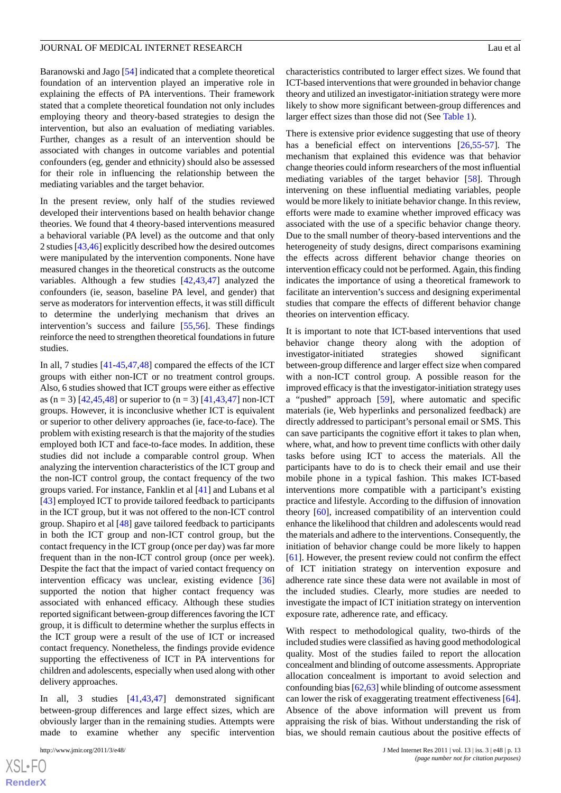Baranowski and Jago [[54\]](#page-16-0) indicated that a complete theoretical foundation of an intervention played an imperative role in explaining the effects of PA interventions. Their framework stated that a complete theoretical foundation not only includes employing theory and theory-based strategies to design the intervention, but also an evaluation of mediating variables. Further, changes as a result of an intervention should be associated with changes in outcome variables and potential confounders (eg, gender and ethnicity) should also be assessed for their role in influencing the relationship between the mediating variables and the target behavior.

In the present review, only half of the studies reviewed developed their interventions based on health behavior change theories. We found that 4 theory-based interventions measured a behavioral variable (PA level) as the outcome and that only 2 studies [\[43](#page-15-15),[46\]](#page-15-13) explicitly described how the desired outcomes were manipulated by the intervention components. None have measured changes in the theoretical constructs as the outcome variables. Although a few studies [\[42](#page-15-14),[43,](#page-15-15)[47](#page-15-18)] analyzed the confounders (ie, season, baseline PA level, and gender) that serve as moderators for intervention effects, it was still difficult to determine the underlying mechanism that drives an intervention's success and failure [[55](#page-16-1)[,56](#page-16-2)]. These findings reinforce the need to strengthen theoretical foundations in future studies.

In all, 7 studies [[41-](#page-15-10)[45](#page-15-16),[47,](#page-15-18)[48](#page-15-17)] compared the effects of the ICT groups with either non-ICT or no treatment control groups. Also, 6 studies showed that ICT groups were either as effective as (n = 3) [\[42](#page-15-14),[45](#page-15-16)[,48](#page-15-17)] or superior to (n = 3) [\[41](#page-15-10),[43](#page-15-15)[,47](#page-15-18)] non-ICT groups. However, it is inconclusive whether ICT is equivalent or superior to other delivery approaches (ie, face-to-face). The problem with existing research is that the majority of the studies employed both ICT and face-to-face modes. In addition, these studies did not include a comparable control group. When analyzing the intervention characteristics of the ICT group and the non-ICT control group, the contact frequency of the two groups varied. For instance, Fanklin et al [[41\]](#page-15-10) and Lubans et al [[43\]](#page-15-15) employed ICT to provide tailored feedback to participants in the ICT group, but it was not offered to the non-ICT control group. Shapiro et al [[48\]](#page-15-17) gave tailored feedback to participants in both the ICT group and non-ICT control group, but the contact frequency in the ICT group (once per day) was far more frequent than in the non-ICT control group (once per week). Despite the fact that the impact of varied contact frequency on intervention efficacy was unclear, existing evidence [\[36](#page-15-2)] supported the notion that higher contact frequency was associated with enhanced efficacy. Although these studies reported significant between-group differences favoring the ICT group, it is difficult to determine whether the surplus effects in the ICT group were a result of the use of ICT or increased contact frequency. Nonetheless, the findings provide evidence supporting the effectiveness of ICT in PA interventions for children and adolescents, especially when used along with other delivery approaches.

In all, 3 studies [\[41](#page-15-10),[43,](#page-15-15)[47](#page-15-18)] demonstrated significant between-group differences and large effect sizes, which are obviously larger than in the remaining studies. Attempts were made to examine whether any specific intervention

characteristics contributed to larger effect sizes. We found that ICT-based interventions that were grounded in behavior change theory and utilized an investigator-initiation strategy were more likely to show more significant between-group differences and larger effect sizes than those did not (See [Table 1\)](#page-6-0).

There is extensive prior evidence suggesting that use of theory has a beneficial effect on interventions [[26](#page-14-15)[,55](#page-16-1)-[57\]](#page-16-3). The mechanism that explained this evidence was that behavior change theories could inform researchers of the most influential mediating variables of the target behavior [\[58](#page-16-4)]. Through intervening on these influential mediating variables, people would be more likely to initiate behavior change. In this review, efforts were made to examine whether improved efficacy was associated with the use of a specific behavior change theory. Due to the small number of theory-based interventions and the heterogeneity of study designs, direct comparisons examining the effects across different behavior change theories on intervention efficacy could not be performed. Again, this finding indicates the importance of using a theoretical framework to facilitate an intervention's success and designing experimental studies that compare the effects of different behavior change theories on intervention efficacy.

It is important to note that ICT-based interventions that used behavior change theory along with the adoption of investigator-initiated strategies showed significant between-group difference and larger effect size when compared with a non-ICT control group. A possible reason for the improved efficacy is that the investigator-initiation strategy uses a "pushed" approach [[59\]](#page-16-5), where automatic and specific materials (ie, Web hyperlinks and personalized feedback) are directly addressed to participant's personal email or SMS. This can save participants the cognitive effort it takes to plan when, where, what, and how to prevent time conflicts with other daily tasks before using ICT to access the materials. All the participants have to do is to check their email and use their mobile phone in a typical fashion. This makes ICT-based interventions more compatible with a participant's existing practice and lifestyle. According to the diffusion of innovation theory [\[60](#page-16-6)], increased compatibility of an intervention could enhance the likelihood that children and adolescents would read the materials and adhere to the interventions. Consequently, the initiation of behavior change could be more likely to happen [[61\]](#page-16-7). However, the present review could not confirm the effect of ICT initiation strategy on intervention exposure and adherence rate since these data were not available in most of the included studies. Clearly, more studies are needed to investigate the impact of ICT initiation strategy on intervention exposure rate, adherence rate, and efficacy.

With respect to methodological quality, two-thirds of the included studies were classified as having good methodological quality. Most of the studies failed to report the allocation concealment and blinding of outcome assessments. Appropriate allocation concealment is important to avoid selection and confounding bias [[62](#page-16-8),[63\]](#page-16-9) while blinding of outcome assessment can lower the risk of exaggerating treatment effectiveness [[64\]](#page-16-10). Absence of the above information will prevent us from appraising the risk of bias. Without understanding the risk of bias, we should remain cautious about the positive effects of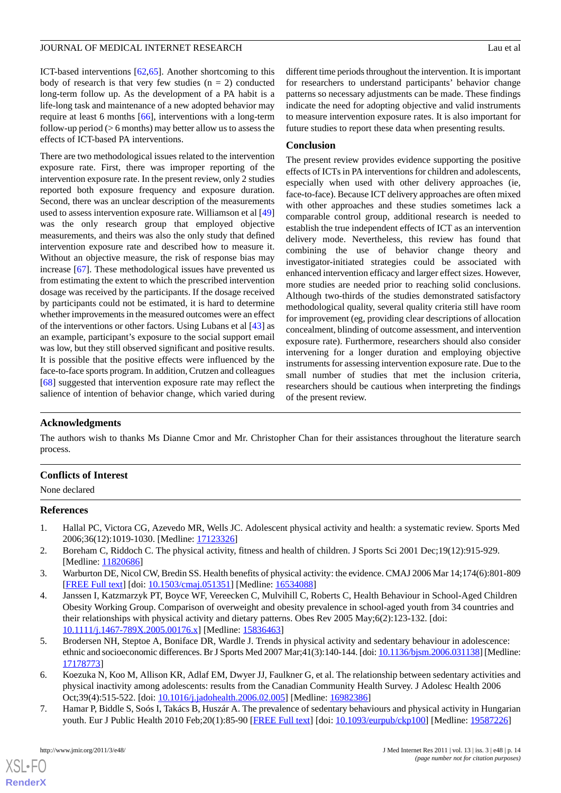ICT-based interventions [[62,](#page-16-8)[65](#page-16-11)]. Another shortcoming to this body of research is that very few studies  $(n = 2)$  conducted long-term follow up. As the development of a PA habit is a life-long task and maintenance of a new adopted behavior may require at least 6 months [[66\]](#page-16-12), interventions with a long-term follow-up period (> 6 months) may better allow us to assess the effects of ICT-based PA interventions.

There are two methodological issues related to the intervention exposure rate. First, there was improper reporting of the intervention exposure rate. In the present review, only 2 studies reported both exposure frequency and exposure duration. Second, there was an unclear description of the measurements used to assess intervention exposure rate. Williamson et al [\[49](#page-15-11)] was the only research group that employed objective measurements, and theirs was also the only study that defined intervention exposure rate and described how to measure it. Without an objective measure, the risk of response bias may increase [[67\]](#page-16-13). These methodological issues have prevented us from estimating the extent to which the prescribed intervention dosage was received by the participants. If the dosage received by participants could not be estimated, it is hard to determine whether improvements in the measured outcomes were an effect of the interventions or other factors. Using Lubans et al [[43\]](#page-15-15) as an example, participant's exposure to the social support email was low, but they still observed significant and positive results. It is possible that the positive effects were influenced by the face-to-face sports program. In addition, Crutzen and colleagues [[68\]](#page-16-14) suggested that intervention exposure rate may reflect the salience of intention of behavior change, which varied during

different time periods throughout the intervention. It is important for researchers to understand participants' behavior change patterns so necessary adjustments can be made. These findings indicate the need for adopting objective and valid instruments to measure intervention exposure rates. It is also important for future studies to report these data when presenting results.

### **Conclusion**

The present review provides evidence supporting the positive effects of ICTs in PA interventions for children and adolescents, especially when used with other delivery approaches (ie, face-to-face). Because ICT delivery approaches are often mixed with other approaches and these studies sometimes lack a comparable control group, additional research is needed to establish the true independent effects of ICT as an intervention delivery mode. Nevertheless, this review has found that combining the use of behavior change theory and investigator-initiated strategies could be associated with enhanced intervention efficacy and larger effect sizes. However, more studies are needed prior to reaching solid conclusions. Although two-thirds of the studies demonstrated satisfactory methodological quality, several quality criteria still have room for improvement (eg, providing clear descriptions of allocation concealment, blinding of outcome assessment, and intervention exposure rate). Furthermore, researchers should also consider intervening for a longer duration and employing objective instruments for assessing intervention exposure rate. Due to the small number of studies that met the inclusion criteria, researchers should be cautious when interpreting the findings of the present review.

# **Acknowledgments**

The authors wish to thanks Ms Dianne Cmor and Mr. Christopher Chan for their assistances throughout the literature search process.

### <span id="page-13-0"></span>**Conflicts of Interest**

None declared

### <span id="page-13-1"></span>**References**

- <span id="page-13-2"></span>1. Hallal PC, Victora CG, Azevedo MR, Wells JC. Adolescent physical activity and health: a systematic review. Sports Med 2006;36(12):1019-1030. [Medline: [17123326](http://www.ncbi.nlm.nih.gov/entrez/query.fcgi?cmd=Retrieve&db=PubMed&list_uids=17123326&dopt=Abstract)]
- 2. Boreham C, Riddoch C. The physical activity, fitness and health of children. J Sports Sci 2001 Dec;19(12):915-929. [Medline: [11820686](http://www.ncbi.nlm.nih.gov/entrez/query.fcgi?cmd=Retrieve&db=PubMed&list_uids=11820686&dopt=Abstract)]
- 3. Warburton DE, Nicol CW, Bredin SS. Health benefits of physical activity: the evidence. CMAJ 2006 Mar 14;174(6):801-809 [[FREE Full text](http://www.cmaj.ca/cgi/pmidlookup?view=long&pmid=16534088)] [doi: [10.1503/cmaj.051351\]](http://dx.doi.org/10.1503/cmaj.051351) [Medline: [16534088](http://www.ncbi.nlm.nih.gov/entrez/query.fcgi?cmd=Retrieve&db=PubMed&list_uids=16534088&dopt=Abstract)]
- 4. Janssen I, Katzmarzyk PT, Boyce WF, Vereecken C, Mulvihill C, Roberts C, Health Behaviour in School-Aged Children Obesity Working Group. Comparison of overweight and obesity prevalence in school-aged youth from 34 countries and their relationships with physical activity and dietary patterns. Obes Rev 2005 May;6(2):123-132. [doi: [10.1111/j.1467-789X.2005.00176.x](http://dx.doi.org/10.1111/j.1467-789X.2005.00176.x)] [Medline: [15836463\]](http://www.ncbi.nlm.nih.gov/entrez/query.fcgi?cmd=Retrieve&db=PubMed&list_uids=15836463&dopt=Abstract)
- <span id="page-13-3"></span>5. Brodersen NH, Steptoe A, Boniface DR, Wardle J. Trends in physical activity and sedentary behaviour in adolescence: ethnic and socioeconomic differences. Br J Sports Med 2007 Mar;41(3):140-144. [doi: [10.1136/bjsm.2006.031138](http://dx.doi.org/10.1136/bjsm.2006.031138)] [Medline: [17178773](http://www.ncbi.nlm.nih.gov/entrez/query.fcgi?cmd=Retrieve&db=PubMed&list_uids=17178773&dopt=Abstract)]
- 6. Koezuka N, Koo M, Allison KR, Adlaf EM, Dwyer JJ, Faulkner G, et al. The relationship between sedentary activities and physical inactivity among adolescents: results from the Canadian Community Health Survey. J Adolesc Health 2006 Oct;39(4):515-522. [doi: [10.1016/j.jadohealth.2006.02.005\]](http://dx.doi.org/10.1016/j.jadohealth.2006.02.005) [Medline: [16982386](http://www.ncbi.nlm.nih.gov/entrez/query.fcgi?cmd=Retrieve&db=PubMed&list_uids=16982386&dopt=Abstract)]
- 7. Hamar P, Biddle S, Soós I, Takács B, Huszár A. The prevalence of sedentary behaviours and physical activity in Hungarian youth. Eur J Public Health 2010 Feb;20(1):85-90 [[FREE Full text](http://eurpub.oxfordjournals.org/cgi/pmidlookup?view=long&pmid=19587226)] [doi: [10.1093/eurpub/ckp100\]](http://dx.doi.org/10.1093/eurpub/ckp100) [Medline: [19587226](http://www.ncbi.nlm.nih.gov/entrez/query.fcgi?cmd=Retrieve&db=PubMed&list_uids=19587226&dopt=Abstract)]

 $XS$ -FO **[RenderX](http://www.renderx.com/)**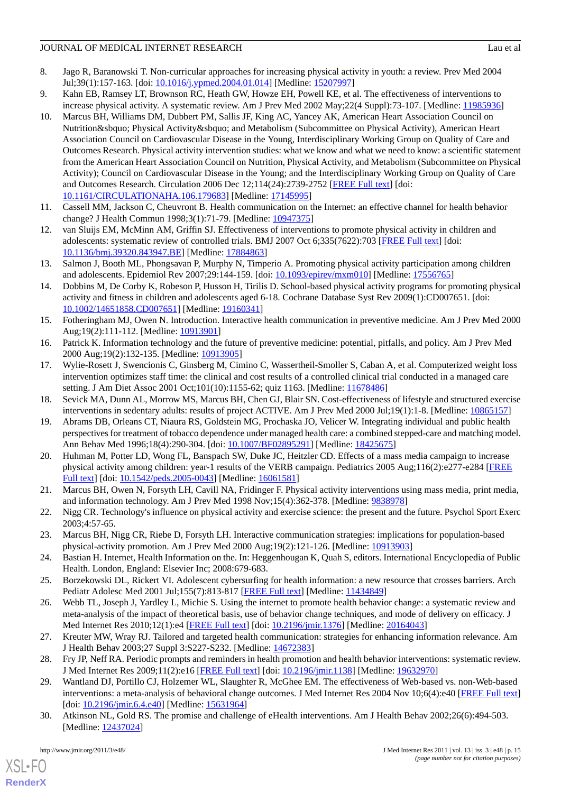- <span id="page-14-0"></span>8. Jago R, Baranowski T. Non-curricular approaches for increasing physical activity in youth: a review. Prev Med 2004 Jul;39(1):157-163. [doi: [10.1016/j.ypmed.2004.01.014](http://dx.doi.org/10.1016/j.ypmed.2004.01.014)] [Medline: [15207997](http://www.ncbi.nlm.nih.gov/entrez/query.fcgi?cmd=Retrieve&db=PubMed&list_uids=15207997&dopt=Abstract)]
- <span id="page-14-2"></span><span id="page-14-1"></span>9. Kahn EB, Ramsey LT, Brownson RC, Heath GW, Howze EH, Powell KE, et al. The effectiveness of interventions to increase physical activity. A systematic review. Am J Prev Med 2002 May;22(4 Suppl):73-107. [Medline: [11985936\]](http://www.ncbi.nlm.nih.gov/entrez/query.fcgi?cmd=Retrieve&db=PubMed&list_uids=11985936&dopt=Abstract)
- 10. Marcus BH, Williams DM, Dubbert PM, Sallis JF, King AC, Yancey AK, American Heart Association Council on Nutrition' Physical Activity' and Metabolism (Subcommittee on Physical Activity), American Heart Association Council on Cardiovascular Disease in the Young, Interdisciplinary Working Group on Quality of Care and Outcomes Research. Physical activity intervention studies: what we know and what we need to know: a scientific statement from the American Heart Association Council on Nutrition, Physical Activity, and Metabolism (Subcommittee on Physical Activity); Council on Cardiovascular Disease in the Young; and the Interdisciplinary Working Group on Quality of Care and Outcomes Research. Circulation 2006 Dec 12;114(24):2739-2752 [\[FREE Full text\]](http://circ.ahajournals.org/cgi/pmidlookup?view=long&pmid=17145995) [doi: [10.1161/CIRCULATIONAHA.106.179683\]](http://dx.doi.org/10.1161/CIRCULATIONAHA.106.179683) [Medline: [17145995\]](http://www.ncbi.nlm.nih.gov/entrez/query.fcgi?cmd=Retrieve&db=PubMed&list_uids=17145995&dopt=Abstract)
- <span id="page-14-4"></span><span id="page-14-3"></span>11. Cassell MM, Jackson C, Cheuvront B. Health communication on the Internet: an effective channel for health behavior change? J Health Commun 1998;3(1):71-79. [Medline: [10947375\]](http://www.ncbi.nlm.nih.gov/entrez/query.fcgi?cmd=Retrieve&db=PubMed&list_uids=10947375&dopt=Abstract)
- 12. van Sluijs EM, McMinn AM, Griffin SJ. Effectiveness of interventions to promote physical activity in children and adolescents: systematic review of controlled trials. BMJ 2007 Oct 6;335(7622):703 [\[FREE Full text\]](http://www.bmj.com/cgi/pmidlookup?view=long&pmid=17884863) [doi: [10.1136/bmj.39320.843947.BE\]](http://dx.doi.org/10.1136/bmj.39320.843947.BE) [Medline: [17884863](http://www.ncbi.nlm.nih.gov/entrez/query.fcgi?cmd=Retrieve&db=PubMed&list_uids=17884863&dopt=Abstract)]
- <span id="page-14-5"></span>13. Salmon J, Booth ML, Phongsavan P, Murphy N, Timperio A. Promoting physical activity participation among children and adolescents. Epidemiol Rev 2007;29:144-159. [doi: [10.1093/epirev/mxm010\]](http://dx.doi.org/10.1093/epirev/mxm010) [Medline: [17556765](http://www.ncbi.nlm.nih.gov/entrez/query.fcgi?cmd=Retrieve&db=PubMed&list_uids=17556765&dopt=Abstract)]
- <span id="page-14-6"></span>14. Dobbins M, De Corby K, Robeson P, Husson H, Tirilis D. School-based physical activity programs for promoting physical activity and fitness in children and adolescents aged 6-18. Cochrane Database Syst Rev 2009(1):CD007651. [doi: [10.1002/14651858.CD007651](http://dx.doi.org/10.1002/14651858.CD007651)] [Medline: [19160341\]](http://www.ncbi.nlm.nih.gov/entrez/query.fcgi?cmd=Retrieve&db=PubMed&list_uids=19160341&dopt=Abstract)
- 15. Fotheringham MJ, Owen N. Introduction. Interactive health communication in preventive medicine. Am J Prev Med 2000 Aug;19(2):111-112. [Medline: [10913901](http://www.ncbi.nlm.nih.gov/entrez/query.fcgi?cmd=Retrieve&db=PubMed&list_uids=10913901&dopt=Abstract)]
- 16. Patrick K. Information technology and the future of preventive medicine: potential, pitfalls, and policy. Am J Prev Med 2000 Aug;19(2):132-135. [Medline: [10913905\]](http://www.ncbi.nlm.nih.gov/entrez/query.fcgi?cmd=Retrieve&db=PubMed&list_uids=10913905&dopt=Abstract)
- <span id="page-14-8"></span><span id="page-14-7"></span>17. Wylie-Rosett J, Swencionis C, Ginsberg M, Cimino C, Wassertheil-Smoller S, Caban A, et al. Computerized weight loss intervention optimizes staff time: the clinical and cost results of a controlled clinical trial conducted in a managed care setting. J Am Diet Assoc 2001 Oct;101(10):1155-62; quiz 1163. [Medline: [11678486](http://www.ncbi.nlm.nih.gov/entrez/query.fcgi?cmd=Retrieve&db=PubMed&list_uids=11678486&dopt=Abstract)]
- <span id="page-14-9"></span>18. Sevick MA, Dunn AL, Morrow MS, Marcus BH, Chen GJ, Blair SN. Cost-effectiveness of lifestyle and structured exercise interventions in sedentary adults: results of project ACTIVE. Am J Prev Med 2000 Jul;19(1):1-8. [Medline: [10865157](http://www.ncbi.nlm.nih.gov/entrez/query.fcgi?cmd=Retrieve&db=PubMed&list_uids=10865157&dopt=Abstract)]
- 19. Abrams DB, Orleans CT, Niaura RS, Goldstein MG, Prochaska JO, Velicer W. Integrating individual and public health perspectives for treatment of tobacco dependence under managed health care: a combined stepped-care and matching model. Ann Behav Med 1996;18(4):290-304. [doi: [10.1007/BF02895291](http://dx.doi.org/10.1007/BF02895291)] [Medline: [18425675](http://www.ncbi.nlm.nih.gov/entrez/query.fcgi?cmd=Retrieve&db=PubMed&list_uids=18425675&dopt=Abstract)]
- <span id="page-14-11"></span><span id="page-14-10"></span>20. Huhman M, Potter LD, Wong FL, Banspach SW, Duke JC, Heitzler CD. Effects of a mass media campaign to increase physical activity among children: year-1 results of the VERB campaign. Pediatrics 2005 Aug;116(2):e277-e284 [\[FREE](http://pediatrics.aappublications.org/cgi/pmidlookup?view=long&pmid=16061581) [Full text\]](http://pediatrics.aappublications.org/cgi/pmidlookup?view=long&pmid=16061581) [doi: [10.1542/peds.2005-0043\]](http://dx.doi.org/10.1542/peds.2005-0043) [Medline: [16061581](http://www.ncbi.nlm.nih.gov/entrez/query.fcgi?cmd=Retrieve&db=PubMed&list_uids=16061581&dopt=Abstract)]
- <span id="page-14-12"></span>21. Marcus BH, Owen N, Forsyth LH, Cavill NA, Fridinger F. Physical activity interventions using mass media, print media, and information technology. Am J Prev Med 1998 Nov;15(4):362-378. [Medline: [9838978](http://www.ncbi.nlm.nih.gov/entrez/query.fcgi?cmd=Retrieve&db=PubMed&list_uids=9838978&dopt=Abstract)]
- <span id="page-14-14"></span><span id="page-14-13"></span>22. Nigg CR. Technology's influence on physical activity and exercise science: the present and the future. Psychol Sport Exerc 2003;4:57-65.
- <span id="page-14-15"></span>23. Marcus BH, Nigg CR, Riebe D, Forsyth LH. Interactive communication strategies: implications for population-based physical-activity promotion. Am J Prev Med 2000 Aug;19(2):121-126. [Medline: [10913903\]](http://www.ncbi.nlm.nih.gov/entrez/query.fcgi?cmd=Retrieve&db=PubMed&list_uids=10913903&dopt=Abstract)
- 24. Bastian H. Internet, Health Information on the. In: Heggenhougan K, Quah S, editors. International Encyclopedia of Public Health. London, England: Elsevier Inc; 2008:679-683.
- 25. Borzekowski DL, Rickert VI. Adolescent cybersurfing for health information: a new resource that crosses barriers. Arch Pediatr Adolesc Med 2001 Jul;155(7):813-817 [[FREE Full text](http://archpedi.ama-assn.org/cgi/pmidlookup?view=long&pmid=11434849)] [Medline: [11434849](http://www.ncbi.nlm.nih.gov/entrez/query.fcgi?cmd=Retrieve&db=PubMed&list_uids=11434849&dopt=Abstract)]
- <span id="page-14-17"></span><span id="page-14-16"></span>26. Webb TL, Joseph J, Yardley L, Michie S. Using the internet to promote health behavior change: a systematic review and meta-analysis of the impact of theoretical basis, use of behavior change techniques, and mode of delivery on efficacy. J Med Internet Res 2010;12(1):e4 [[FREE Full text](http://www.jmir.org/2010/1/e4/)] [doi: [10.2196/jmir.1376](http://dx.doi.org/10.2196/jmir.1376)] [Medline: [20164043](http://www.ncbi.nlm.nih.gov/entrez/query.fcgi?cmd=Retrieve&db=PubMed&list_uids=20164043&dopt=Abstract)]
- 27. Kreuter MW, Wray RJ. Tailored and targeted health communication: strategies for enhancing information relevance. Am J Health Behav 2003;27 Suppl 3:S227-S232. [Medline: [14672383](http://www.ncbi.nlm.nih.gov/entrez/query.fcgi?cmd=Retrieve&db=PubMed&list_uids=14672383&dopt=Abstract)]
- 28. Fry JP, Neff RA. Periodic prompts and reminders in health promotion and health behavior interventions: systematic review. J Med Internet Res 2009;11(2):e16 [\[FREE Full text\]](http://www.jmir.org/2009/2/e16/) [doi: [10.2196/jmir.1138\]](http://dx.doi.org/10.2196/jmir.1138) [Medline: [19632970\]](http://www.ncbi.nlm.nih.gov/entrez/query.fcgi?cmd=Retrieve&db=PubMed&list_uids=19632970&dopt=Abstract)
- 29. Wantland DJ, Portillo CJ, Holzemer WL, Slaughter R, McGhee EM. The effectiveness of Web-based vs. non-Web-based interventions: a meta-analysis of behavioral change outcomes. J Med Internet Res 2004 Nov 10;6(4):e40 [\[FREE Full text](http://www.jmir.org/2004/4/e40/)] [doi: [10.2196/jmir.6.4.e40](http://dx.doi.org/10.2196/jmir.6.4.e40)] [Medline: [15631964](http://www.ncbi.nlm.nih.gov/entrez/query.fcgi?cmd=Retrieve&db=PubMed&list_uids=15631964&dopt=Abstract)]
- 30. Atkinson NL, Gold RS. The promise and challenge of eHealth interventions. Am J Health Behav 2002;26(6):494-503. [Medline: [12437024](http://www.ncbi.nlm.nih.gov/entrez/query.fcgi?cmd=Retrieve&db=PubMed&list_uids=12437024&dopt=Abstract)]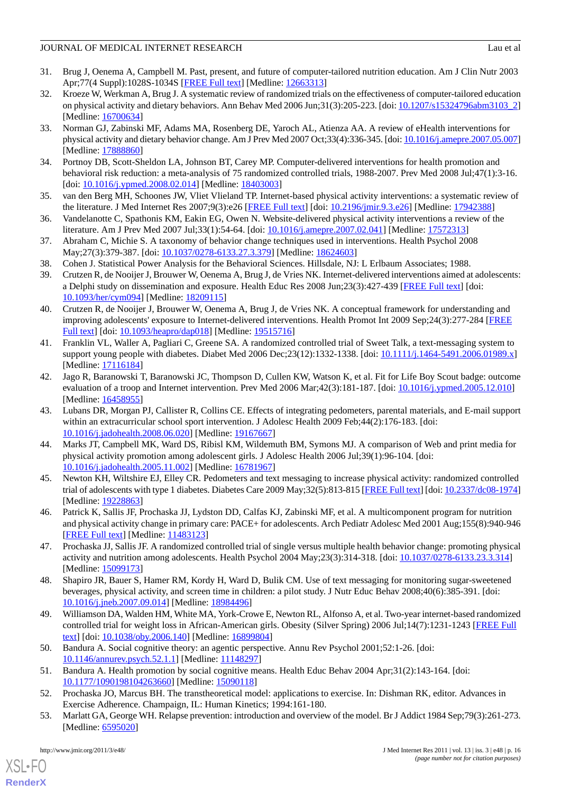- <span id="page-15-0"></span>31. Brug J, Oenema A, Campbell M. Past, present, and future of computer-tailored nutrition education. Am J Clin Nutr 2003 Apr;77(4 Suppl):1028S-1034S [\[FREE Full text\]](http://www.ajcn.org/cgi/pmidlookup?view=long&pmid=12663313) [Medline: [12663313\]](http://www.ncbi.nlm.nih.gov/entrez/query.fcgi?cmd=Retrieve&db=PubMed&list_uids=12663313&dopt=Abstract)
- <span id="page-15-1"></span>32. Kroeze W, Werkman A, Brug J. A systematic review of randomized trials on the effectiveness of computer-tailored education on physical activity and dietary behaviors. Ann Behav Med 2006 Jun;31(3):205-223. [doi: [10.1207/s15324796abm3103\\_2](http://dx.doi.org/10.1207/s15324796abm3103_2)] [Medline: [16700634](http://www.ncbi.nlm.nih.gov/entrez/query.fcgi?cmd=Retrieve&db=PubMed&list_uids=16700634&dopt=Abstract)]
- <span id="page-15-3"></span>33. Norman GJ, Zabinski MF, Adams MA, Rosenberg DE, Yaroch AL, Atienza AA. A review of eHealth interventions for physical activity and dietary behavior change. Am J Prev Med 2007 Oct;33(4):336-345. [doi: [10.1016/j.amepre.2007.05.007](http://dx.doi.org/10.1016/j.amepre.2007.05.007)] [Medline: [17888860](http://www.ncbi.nlm.nih.gov/entrez/query.fcgi?cmd=Retrieve&db=PubMed&list_uids=17888860&dopt=Abstract)]
- <span id="page-15-7"></span><span id="page-15-4"></span>34. Portnoy DB, Scott-Sheldon LA, Johnson BT, Carey MP. Computer-delivered interventions for health promotion and behavioral risk reduction: a meta-analysis of 75 randomized controlled trials, 1988-2007. Prev Med 2008 Jul;47(1):3-16. [doi: [10.1016/j.ypmed.2008.02.014](http://dx.doi.org/10.1016/j.ypmed.2008.02.014)] [Medline: [18403003\]](http://www.ncbi.nlm.nih.gov/entrez/query.fcgi?cmd=Retrieve&db=PubMed&list_uids=18403003&dopt=Abstract)
- <span id="page-15-2"></span>35. van den Berg MH, Schoones JW, Vliet Vlieland TP. Internet-based physical activity interventions: a systematic review of the literature. J Med Internet Res 2007;9(3):e26 [\[FREE Full text\]](http://www.jmir.org/2007/3/e26/) [doi: [10.2196/jmir.9.3.e26](http://dx.doi.org/10.2196/jmir.9.3.e26)] [Medline: [17942388\]](http://www.ncbi.nlm.nih.gov/entrez/query.fcgi?cmd=Retrieve&db=PubMed&list_uids=17942388&dopt=Abstract)
- <span id="page-15-5"></span>36. Vandelanotte C, Spathonis KM, Eakin EG, Owen N. Website-delivered physical activity interventions a review of the literature. Am J Prev Med 2007 Jul;33(1):54-64. [doi: [10.1016/j.amepre.2007.02.041](http://dx.doi.org/10.1016/j.amepre.2007.02.041)] [Medline: [17572313](http://www.ncbi.nlm.nih.gov/entrez/query.fcgi?cmd=Retrieve&db=PubMed&list_uids=17572313&dopt=Abstract)]
- <span id="page-15-8"></span><span id="page-15-6"></span>37. Abraham C, Michie S. A taxonomy of behavior change techniques used in interventions. Health Psychol 2008 May; 27(3): 379-387. [doi: [10.1037/0278-6133.27.3.379\]](http://dx.doi.org/10.1037/0278-6133.27.3.379) [Medline: [18624603\]](http://www.ncbi.nlm.nih.gov/entrez/query.fcgi?cmd=Retrieve&db=PubMed&list_uids=18624603&dopt=Abstract)
- 38. Cohen J. Statistical Power Analysis for the Behavioral Sciences. Hillsdale, NJ: L Erlbaum Associates; 1988.
- <span id="page-15-9"></span>39. Crutzen R, de Nooijer J, Brouwer W, Oenema A, Brug J, de Vries NK. Internet-delivered interventions aimed at adolescents: a Delphi study on dissemination and exposure. Health Educ Res 2008 Jun;23(3):427-439 [\[FREE Full text\]](http://her.oxfordjournals.org/cgi/pmidlookup?view=long&pmid=18209115) [doi: [10.1093/her/cym094](http://dx.doi.org/10.1093/her/cym094)] [Medline: [18209115](http://www.ncbi.nlm.nih.gov/entrez/query.fcgi?cmd=Retrieve&db=PubMed&list_uids=18209115&dopt=Abstract)]
- <span id="page-15-10"></span>40. Crutzen R, de Nooijer J, Brouwer W, Oenema A, Brug J, de Vries NK. A conceptual framework for understanding and improving adolescents' exposure to Internet-delivered interventions. Health Promot Int 2009 Sep;24(3):277-284 [\[FREE](http://heapro.oxfordjournals.org/cgi/pmidlookup?view=long&pmid=19515716) [Full text\]](http://heapro.oxfordjournals.org/cgi/pmidlookup?view=long&pmid=19515716) [doi: [10.1093/heapro/dap018\]](http://dx.doi.org/10.1093/heapro/dap018) [Medline: [19515716\]](http://www.ncbi.nlm.nih.gov/entrez/query.fcgi?cmd=Retrieve&db=PubMed&list_uids=19515716&dopt=Abstract)
- <span id="page-15-14"></span>41. Franklin VL, Waller A, Pagliari C, Greene SA. A randomized controlled trial of Sweet Talk, a text-messaging system to support young people with diabetes. Diabet Med 2006 Dec; 23(12): 1332-1338. [doi: [10.1111/j.1464-5491.2006.01989.x\]](http://dx.doi.org/10.1111/j.1464-5491.2006.01989.x) [Medline: [17116184](http://www.ncbi.nlm.nih.gov/entrez/query.fcgi?cmd=Retrieve&db=PubMed&list_uids=17116184&dopt=Abstract)]
- <span id="page-15-15"></span>42. Jago R, Baranowski T, Baranowski JC, Thompson D, Cullen KW, Watson K, et al. Fit for Life Boy Scout badge: outcome evaluation of a troop and Internet intervention. Prev Med 2006 Mar;42(3):181-187. [doi: [10.1016/j.ypmed.2005.12.010](http://dx.doi.org/10.1016/j.ypmed.2005.12.010)] [Medline: [16458955](http://www.ncbi.nlm.nih.gov/entrez/query.fcgi?cmd=Retrieve&db=PubMed&list_uids=16458955&dopt=Abstract)]
- <span id="page-15-12"></span>43. Lubans DR, Morgan PJ, Callister R, Collins CE. Effects of integrating pedometers, parental materials, and E-mail support within an extracurricular school sport intervention. J Adolesc Health 2009 Feb; 44(2): 176-183. [doi: [10.1016/j.jadohealth.2008.06.020](http://dx.doi.org/10.1016/j.jadohealth.2008.06.020)] [Medline: [19167667](http://www.ncbi.nlm.nih.gov/entrez/query.fcgi?cmd=Retrieve&db=PubMed&list_uids=19167667&dopt=Abstract)]
- <span id="page-15-16"></span><span id="page-15-13"></span>44. Marks JT, Campbell MK, Ward DS, Ribisl KM, Wildemuth BM, Symons MJ. A comparison of Web and print media for physical activity promotion among adolescent girls. J Adolesc Health 2006 Jul;39(1):96-104. [doi: [10.1016/j.jadohealth.2005.11.002](http://dx.doi.org/10.1016/j.jadohealth.2005.11.002)] [Medline: [16781967](http://www.ncbi.nlm.nih.gov/entrez/query.fcgi?cmd=Retrieve&db=PubMed&list_uids=16781967&dopt=Abstract)]
- <span id="page-15-18"></span>45. Newton KH, Wiltshire EJ, Elley CR. Pedometers and text messaging to increase physical activity: randomized controlled trial of adolescents with type 1 diabetes. Diabetes Care 2009 May;32(5):813-815 [\[FREE Full text](http://care.diabetesjournals.org/cgi/pmidlookup?view=long&pmid=19228863)] [doi: [10.2337/dc08-1974\]](http://dx.doi.org/10.2337/dc08-1974) [Medline: [19228863](http://www.ncbi.nlm.nih.gov/entrez/query.fcgi?cmd=Retrieve&db=PubMed&list_uids=19228863&dopt=Abstract)]
- <span id="page-15-17"></span>46. Patrick K, Sallis JF, Prochaska JJ, Lydston DD, Calfas KJ, Zabinski MF, et al. A multicomponent program for nutrition and physical activity change in primary care: PACE+ for adolescents. Arch Pediatr Adolesc Med 2001 Aug;155(8):940-946 [[FREE Full text](http://archpedi.ama-assn.org/cgi/pmidlookup?view=long&pmid=11483123)] [Medline: [11483123](http://www.ncbi.nlm.nih.gov/entrez/query.fcgi?cmd=Retrieve&db=PubMed&list_uids=11483123&dopt=Abstract)]
- <span id="page-15-11"></span>47. Prochaska JJ, Sallis JF. A randomized controlled trial of single versus multiple health behavior change: promoting physical activity and nutrition among adolescents. Health Psychol 2004 May;23(3):314-318. [doi: [10.1037/0278-6133.23.3.314\]](http://dx.doi.org/10.1037/0278-6133.23.3.314) [Medline: [15099173](http://www.ncbi.nlm.nih.gov/entrez/query.fcgi?cmd=Retrieve&db=PubMed&list_uids=15099173&dopt=Abstract)]
- <span id="page-15-19"></span>48. Shapiro JR, Bauer S, Hamer RM, Kordy H, Ward D, Bulik CM. Use of text messaging for monitoring sugar-sweetened beverages, physical activity, and screen time in children: a pilot study. J Nutr Educ Behav 2008;40(6):385-391. [doi: [10.1016/j.jneb.2007.09.014](http://dx.doi.org/10.1016/j.jneb.2007.09.014)] [Medline: [18984496](http://www.ncbi.nlm.nih.gov/entrez/query.fcgi?cmd=Retrieve&db=PubMed&list_uids=18984496&dopt=Abstract)]
- <span id="page-15-21"></span><span id="page-15-20"></span>49. Williamson DA, Walden HM, White MA, York-Crowe E, Newton RL, Alfonso A, et al. Two-year internet-based randomized controlled trial for weight loss in African-American girls. Obesity (Silver Spring) 2006 Jul;14(7):1231-1243 [\[FREE Full](http://dx.doi.org/10.1038/oby.2006.140) [text](http://dx.doi.org/10.1038/oby.2006.140)] [doi: [10.1038/oby.2006.140](http://dx.doi.org/10.1038/oby.2006.140)] [Medline: [16899804\]](http://www.ncbi.nlm.nih.gov/entrez/query.fcgi?cmd=Retrieve&db=PubMed&list_uids=16899804&dopt=Abstract)
- <span id="page-15-22"></span>50. Bandura A. Social cognitive theory: an agentic perspective. Annu Rev Psychol 2001;52:1-26. [doi: [10.1146/annurev.psych.52.1.1](http://dx.doi.org/10.1146/annurev.psych.52.1.1)] [Medline: [11148297](http://www.ncbi.nlm.nih.gov/entrez/query.fcgi?cmd=Retrieve&db=PubMed&list_uids=11148297&dopt=Abstract)]
- 51. Bandura A. Health promotion by social cognitive means. Health Educ Behav 2004 Apr;31(2):143-164. [doi: [10.1177/1090198104263660\]](http://dx.doi.org/10.1177/1090198104263660) [Medline: [15090118\]](http://www.ncbi.nlm.nih.gov/entrez/query.fcgi?cmd=Retrieve&db=PubMed&list_uids=15090118&dopt=Abstract)
- 52. Prochaska JO, Marcus BH. The transtheoretical model: applications to exercise. In: Dishman RK, editor. Advances in Exercise Adherence. Champaign, IL: Human Kinetics; 1994:161-180.
- 53. Marlatt GA, George WH. Relapse prevention: introduction and overview of the model. Br J Addict 1984 Sep;79(3):261-273. [Medline: [6595020\]](http://www.ncbi.nlm.nih.gov/entrez/query.fcgi?cmd=Retrieve&db=PubMed&list_uids=6595020&dopt=Abstract)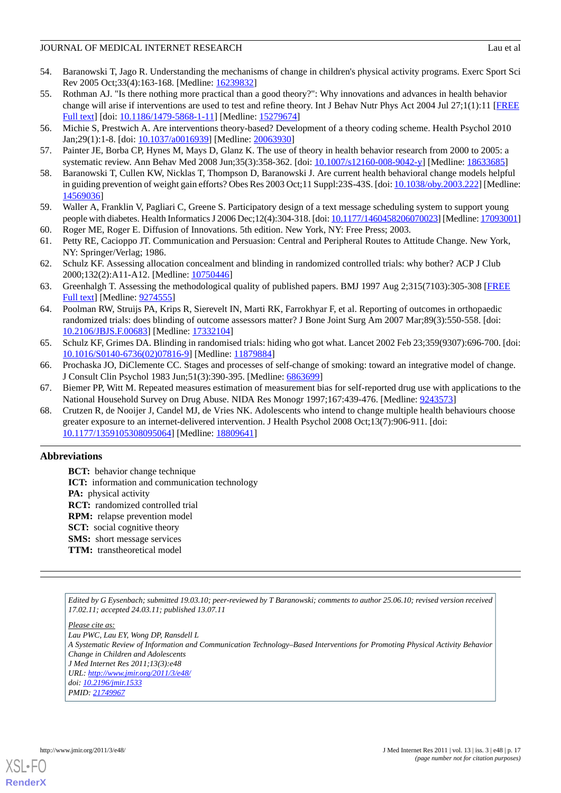- <span id="page-16-0"></span>54. Baranowski T, Jago R. Understanding the mechanisms of change in children's physical activity programs. Exerc Sport Sci Rev 2005 Oct;33(4):163-168. [Medline: [16239832](http://www.ncbi.nlm.nih.gov/entrez/query.fcgi?cmd=Retrieve&db=PubMed&list_uids=16239832&dopt=Abstract)]
- <span id="page-16-1"></span>55. Rothman AJ. "Is there nothing more practical than a good theory?": Why innovations and advances in health behavior change will arise if interventions are used to test and refine theory. Int J Behav Nutr Phys Act 2004 Jul 27;1(1):11 [[FREE](http://www.ijbnpa.org/content/1/1/11) [Full text\]](http://www.ijbnpa.org/content/1/1/11) [doi: [10.1186/1479-5868-1-11\]](http://dx.doi.org/10.1186/1479-5868-1-11) [Medline: [15279674](http://www.ncbi.nlm.nih.gov/entrez/query.fcgi?cmd=Retrieve&db=PubMed&list_uids=15279674&dopt=Abstract)]
- <span id="page-16-3"></span><span id="page-16-2"></span>56. Michie S, Prestwich A. Are interventions theory-based? Development of a theory coding scheme. Health Psychol 2010 Jan;29(1):1-8. [doi: [10.1037/a0016939\]](http://dx.doi.org/10.1037/a0016939) [Medline: [20063930](http://www.ncbi.nlm.nih.gov/entrez/query.fcgi?cmd=Retrieve&db=PubMed&list_uids=20063930&dopt=Abstract)]
- <span id="page-16-4"></span>57. Painter JE, Borba CP, Hynes M, Mays D, Glanz K. The use of theory in health behavior research from 2000 to 2005: a systematic review. Ann Behav Med 2008 Jun;35(3):358-362. [doi: [10.1007/s12160-008-9042-y](http://dx.doi.org/10.1007/s12160-008-9042-y)] [Medline: [18633685\]](http://www.ncbi.nlm.nih.gov/entrez/query.fcgi?cmd=Retrieve&db=PubMed&list_uids=18633685&dopt=Abstract)
- <span id="page-16-5"></span>58. Baranowski T, Cullen KW, Nicklas T, Thompson D, Baranowski J. Are current health behavioral change models helpful in guiding prevention of weight gain efforts? Obes Res 2003 Oct;11 Suppl:23S-43S. [doi: [10.1038/oby.2003.222](http://dx.doi.org/10.1038/oby.2003.222)] [Medline: [14569036](http://www.ncbi.nlm.nih.gov/entrez/query.fcgi?cmd=Retrieve&db=PubMed&list_uids=14569036&dopt=Abstract)]
- <span id="page-16-7"></span><span id="page-16-6"></span>59. Waller A, Franklin V, Pagliari C, Greene S. Participatory design of a text message scheduling system to support young people with diabetes. Health Informatics J 2006 Dec;12(4):304-318. [doi: [10.1177/1460458206070023\]](http://dx.doi.org/10.1177/1460458206070023) [Medline: [17093001\]](http://www.ncbi.nlm.nih.gov/entrez/query.fcgi?cmd=Retrieve&db=PubMed&list_uids=17093001&dopt=Abstract)
- 60. Roger ME, Roger E. Diffusion of Innovations. 5th edition. New York, NY: Free Press; 2003.
- <span id="page-16-8"></span>61. Petty RE, Cacioppo JT. Communication and Persuasion: Central and Peripheral Routes to Attitude Change. New York, NY: Springer/Verlag; 1986.
- <span id="page-16-9"></span>62. Schulz KF. Assessing allocation concealment and blinding in randomized controlled trials: why bother? ACP J Club 2000;132(2):A11-A12. [Medline: [10750446](http://www.ncbi.nlm.nih.gov/entrez/query.fcgi?cmd=Retrieve&db=PubMed&list_uids=10750446&dopt=Abstract)]
- <span id="page-16-10"></span>63. Greenhalgh T. Assessing the methodological quality of published papers. BMJ 1997 Aug 2;315(7103):305-308 [\[FREE](http://bmj.com/cgi/pmidlookup?view=long&pmid=9274555) [Full text\]](http://bmj.com/cgi/pmidlookup?view=long&pmid=9274555) [Medline: [9274555\]](http://www.ncbi.nlm.nih.gov/entrez/query.fcgi?cmd=Retrieve&db=PubMed&list_uids=9274555&dopt=Abstract)
- <span id="page-16-11"></span>64. Poolman RW, Struijs PA, Krips R, Sierevelt IN, Marti RK, Farrokhyar F, et al. Reporting of outcomes in orthopaedic randomized trials: does blinding of outcome assessors matter? J Bone Joint Surg Am 2007 Mar;89(3):550-558. [doi: [10.2106/JBJS.F.00683\]](http://dx.doi.org/10.2106/JBJS.F.00683) [Medline: [17332104](http://www.ncbi.nlm.nih.gov/entrez/query.fcgi?cmd=Retrieve&db=PubMed&list_uids=17332104&dopt=Abstract)]
- <span id="page-16-13"></span><span id="page-16-12"></span>65. Schulz KF, Grimes DA. Blinding in randomised trials: hiding who got what. Lancet 2002 Feb 23;359(9307):696-700. [doi: [10.1016/S0140-6736\(02\)07816-9\]](http://dx.doi.org/10.1016/S0140-6736(02)07816-9) [Medline: [11879884](http://www.ncbi.nlm.nih.gov/entrez/query.fcgi?cmd=Retrieve&db=PubMed&list_uids=11879884&dopt=Abstract)]
- <span id="page-16-14"></span>66. Prochaska JO, DiClemente CC. Stages and processes of self-change of smoking: toward an integrative model of change. J Consult Clin Psychol 1983 Jun;51(3):390-395. [Medline: [6863699](http://www.ncbi.nlm.nih.gov/entrez/query.fcgi?cmd=Retrieve&db=PubMed&list_uids=6863699&dopt=Abstract)]
- 67. Biemer PP, Witt M. Repeated measures estimation of measurement bias for self-reported drug use with applications to the National Household Survey on Drug Abuse. NIDA Res Monogr 1997;167:439-476. [Medline: [9243573\]](http://www.ncbi.nlm.nih.gov/entrez/query.fcgi?cmd=Retrieve&db=PubMed&list_uids=9243573&dopt=Abstract)
- 68. Crutzen R, de Nooijer J, Candel MJ, de Vries NK. Adolescents who intend to change multiple health behaviours choose greater exposure to an internet-delivered intervention. J Health Psychol 2008 Oct;13(7):906-911. [doi: [10.1177/1359105308095064\]](http://dx.doi.org/10.1177/1359105308095064) [Medline: [18809641\]](http://www.ncbi.nlm.nih.gov/entrez/query.fcgi?cmd=Retrieve&db=PubMed&list_uids=18809641&dopt=Abstract)

# **Abbreviations**

**BCT:** behavior change technique **ICT:** information and communication technology **PA:** physical activity **RCT:** randomized controlled trial **RPM:** relapse prevention model **SCT:** social cognitive theory **SMS:** short message services **TTM:** transtheoretical model

*Edited by G Eysenbach; submitted 19.03.10; peer-reviewed by T Baranowski; comments to author 25.06.10; revised version received 17.02.11; accepted 24.03.11; published 13.07.11*

*Please cite as:*

*Lau PWC, Lau EY, Wong DP, Ransdell L*

*A Systematic Review of Information and Communication Technology–Based Interventions for Promoting Physical Activity Behavior Change in Children and Adolescents*

*J Med Internet Res 2011;13(3):e48 URL: <http://www.jmir.org/2011/3/e48/>*

*doi: [10.2196/jmir.1533](http://dx.doi.org/10.2196/jmir.1533)*

*PMID: [21749967](http://www.ncbi.nlm.nih.gov/entrez/query.fcgi?cmd=Retrieve&db=PubMed&list_uids=21749967&dopt=Abstract)*